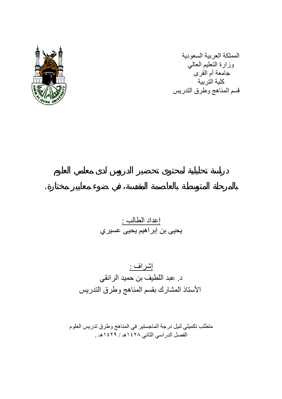

المملكة العربية السعودية وزارة التعليم العالي .<br>جامعة أم القرى آلية التربية قسم المناهج وطرق التدريس

إعداد الطالب : يحيى بن إبراهيم يحيى عسيري

بالمرحلة المتوسطة بالعاصمة المقدسة في ضوء معايير مختارة.

إشراف : د. عبد اللطيف بن حميد الرائقي الأستاذ المشارك بقسم المناهج وطرق التدريس

متطلب تكميلي لنيل درجة الماجستير في المناهج وطرق تدريس العلوم الفصل الدراسي الثاني ١٤٢٨هـ / ١٤٢٩هـ .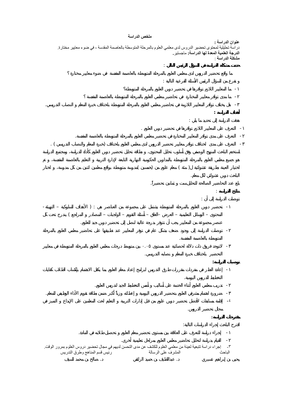#### **ملخص الدراسة**

**عنوان الدراسة :**  دراسة تحليلية لمحتوى تحضير الدروس لدى معلمي العلوم بالمرحلة المتوسطة بالعاصمة المقدسة ، في ضوء معايير مختارة. **الدرجة العلمية المعدة لها الدراسة:** ماجستير**. مشكلة الدراسة** :

**حددت مشكلة الدراسة في السؤال الرئيس التالي** :



- توصلت الدراسة إلى وجود ضعف بشكل عام في توفر المعايير عند تطبيقها على تحاضير معلمي العلوم بالمرحلة المتوسطة بالعاصمة المقدسة. - لاتوجد فروق ذات دلالة احصائية عند مستوى .٠٥ بين متوسط درجات معلمي العلوم بالمرحلة المتوسطة في معايير التحضير باختلاف خبرة المعلم نصابه التدريسي. **توصيات الدراسة:** 

- إعادة النظر في مفردات مقررات طرق التدريس لبرامج إعداد معلم العلوم بما يكفل الاهتمام بإكساب الطلاب كفايات التخطيط للدروس اليومية. - تدريب معلمي العلوم أثناء الخدمة على أساليب أسس التخطيط الجيد لتدريس العلوم. - ضرورة اهتمام مشرفي العلوم بتحضير الدروس اليومية إعطائه وزناً أكبر ضمن بطاقة تقويم الأداء الوظيف للمعلم.  $-\epsilon$ مجال تحضير الدروس. **مقترحات الدراسة:**  اقترح الباحث إجراء الدراسات التالية: - إجراء دراسة للتعرف على العلاقة بين مستوى تحضير معلم العلوم تحصيل طلابه في المادة. - القيام بدراسة لتحليل تحاضير معلمي العلوم بمراحل تعليمية أخرى.

-٣ إجراء دراسة تتبعية لعينة من معلمي العلوم للكشف عن مدى التحسن لديهم في مجال تحضير دروس العلوم بمرور الوقت. الباحث المشرف على الرسالة رئيس قسم المناهج وطرق التدريس

يحيى بن إبراهيم عسيري . عبداللطيف بن حميد الرائقي . صالح بن محمد السيف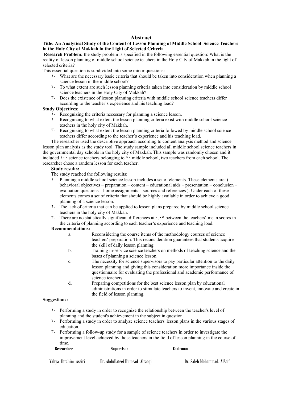#### **Abstract**

#### **Title: An Analytical Study of the Content of Lesson Planning of Middle School Science Teachers in the Holy City of Makkah in the Light of Selected Criteria**

**Research Problem:** the study problem is specified in the following essential question: What is the reality of lesson planning of middle school science teachers in the Holy City of Makkah in the light of selected criteria?

This essential question is subdivided into some minor questions:

- ١- What are the necessary basic criteria that should be taken into consideration when planning a science lesson in the middle school?
- ٢- To what extent are such lesson planning criteria taken into consideration by middle school science teachers in the Holy City of Makkah?
- ٣- Does the existence of lesson planning criteria with middle school science teachers differ according to the teacher's experience and his teaching load?

#### **Study Objectives**:

- ١- Recognizing the criteria necessary for planning a science lesson.
- ٢- Recognizing to what extent the lesson planning criteria exist with middle school science teachers in the holy city of Makkah.
- ٣- Recognizing to what extent the lesson planning criteria followed by middle school science teachers differ according to the teacher's experience and his teaching load.

The researcher used the descriptive approach according to content analysis method and science lesson plan analysis as the study tool. The study sample included all middle school science teachers in the governmental day schools in the holy city of Makkah. This sample was randomly chosen and it included  $\cdots$  science teachers belonging to  $\circ \cdot$  middle school, two teachers from each school. The researcher chose a random lesson for each teacher.

#### **Study results:**

The study reached the following results:

- ١- Planning a middle school science lesson includes a set of elements. These elements are: ( behavioral objectives – preparation – content – educational aids – presentation – conclusion – evaluation questions – home assignments – sources and references ). Under each of these elements comes a set of criteria that should be highly available in order to achieve a good planning of a science lesson.
- ٢- The lack of criteria that can be applied to lesson plans prepared by middle school science teachers in the holy city of Makkah.
- $\mathbf{r}$  There are no statistically significant differences at  $\cdot, \cdot$  between the teachers' mean scores in the criteria of planning according to each teacher's experience and teaching load.

#### **Recommendations:**

- a. Reconsidering the course items of the methodology courses of science teachers' preparation. This reconsideration guarantees that students acquire the skill of daily lesson planning.
- b. Training in-service science teachers on methods of teaching science and the bases of planning a science lesson.
- c. The necessity for science supervisors to pay particular attention to the daily lesson planning and giving this consideration more importance inside the questionnaire for evaluating the professional and academic performance of science teachers.
- d. Preparing competitions for the best science lesson plan by educational administrations in order to stimulate teachers to invent, innovate and create in the field of lesson planning.

#### **Suggestions:**

- ١- Performing a study in order to recognize the relationship between the teacher's level of planning and the student's achievement in the subject in question.
- ٢- Performing a study in order to analyze science teachers' lesson plans in the various stages of education.
- ٣- Performing a follow-up study for a sample of science teachers in order to investigate the improvement level achieved by those teachers in the field of lesson planning in the course of time.

| Researcher           | Supervisor                     | Chairman                   |
|----------------------|--------------------------------|----------------------------|
| Yahya Ibrahim Assiri | Dr. Abdullateef Humead Alraegi | Dr. Saleh Mohammad. AlSeif |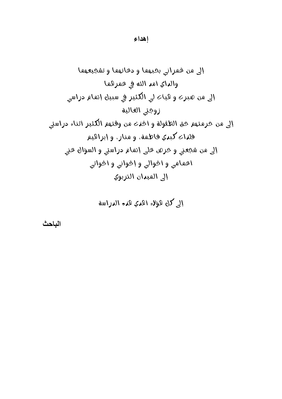א אאא אא א אאא א،،א אאא אאא

אאא

אא

**الباحث**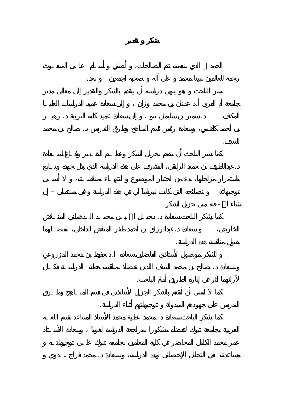رحمة للعالمين نبينا محمد على آله صحبه أجمعين بعد. جامعة أم القرى . عدنان بن محمد وزان إلى سعادة عميد الدراسات العليـا المكلف . سمير بن سليمان نتو إلى سعادة عميد كلية التربية . زهيـر بن أحمد كاظمي، وسعادة رئيس قسم المناهج وطرق التدريس . صالح بن محمد السيف. .عبداللطيف بن حميد الرائقي المشرف على هذه الدراسة الذي بذل جهده وتـابع توجيهاته نصائحه التي كانت نبراساً لي في هذه الدراسة في مستقبلي – إن

شاء االله- فله مني جزيل الشكر. كما يشكر الباحث سعادة . دخيـل االله بـن محمـد الـدهماني المنـاقش الخارجي، سعادة .عبدالرزاق بن أحمد ظفر المناقش الداخلي لتفضـلهما بقبول مناقشة هذه الدراسة.

الشكر موصول لأستاذي الفاضلين سعادة . حفيظ بن محمد المزروعي عادة . صالح بن محمد السيف اللذي تفضلا بمناقشة خطة الدراسـة فكـان لآرائهم أثر في إنارة الطريق أمام الباحث.

التدريس على جهودهم المبذولة توجيهاتهم أثناء الدراسة. كما يشكر الباحث سعادة . محمد عطية محمد الأستاذ المساعد بقسم اللغـة

مساعدته في التحليل الإحصائي لهذه الدراسة، سعادة . محمد فراج بـدوي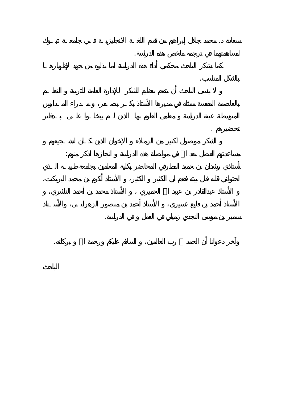سعادة . محمد جلال إبراهيم من قسم اللغـة الانجليزيـة فـي جامعـة تبـوك لمساهمتهما ترجمة ملخص هذه الدراسة. بالشكل المناسب. تحضيرهم . مساعدتهم الفضل بعد االله في مواصلة هذه الدراسة انجازها اذكر منهم: سمير بن موسى ال جدي زميلي في العمل في الدراسة. وآخر دعوانا أن الحمد رب العالمين، السلام عليكم ورحمة االله بركاته.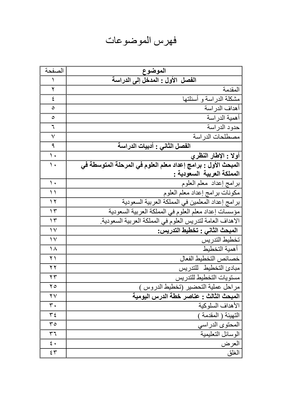## فهرس الموضوعات

| الصفحة                 | الموضوع                                                       |
|------------------------|---------------------------------------------------------------|
| <sup>1</sup>           | الفصل الأول : المدخل إلى الدراسة                              |
| ٢                      | المقدمة                                                       |
| ٤                      | مشكلة الدراسة و أسئلتها                                       |
| ٥                      | أهداف الدر اسة                                                |
| ٥                      | أهمية الدر اسة                                                |
| ٦                      | حدود الدر اسة                                                 |
| ٧                      | مصطلحات الدر اسة                                              |
| ٩                      | الفصل الثاني : أدبيات الدراسة                                 |
| $\mathcal{N}$          | أولا : الإطار النظري                                          |
| ۰ (                    | المبحث الأول : برامج إعداد معلم العلوم في المرحلة المتوسطة في |
|                        | المملكة العربية السعودية :                                    |
| $\mathcal{L}$          | برامج إعداد معلم العلوم                                       |
| $\setminus$            | مكونات برامج إعداد معلم العلوم                                |
| $\gamma$               | برامج إعداد المعلمين في المملكة العربية السعودية              |
| $\gamma$ ۳             | مؤسسات إعداد معلم العلوم في المملكة العربية السعودية          |
| $\gamma$               | الاهداف العامة لتدريس العلوم في المملكة العربية السعودية.     |
| $\vee$                 | المبحث الثاني : تخطيط التدريس:                                |
| $\gamma \vee$          | تخطيط التدريس                                                 |
| ۱۸                     | أهمية التخطيط                                                 |
| $\lambda$              | خصائص التخطيط الفعال                                          |
| ۲۲                     | مبادئ التخطيط للتدريس                                         |
| ۲۳                     | مستويات التخطيط للتدريس                                       |
| $\mathbf{y}$           | مراحل عملية التحضير (تخطيط الدروس )                           |
| $\mathsf{Y}\mathsf{V}$ | المبحث الثالث : عناصر خطة الدرس اليومية                       |
| $\mathbf r$ .          | الأهداف السلوكية                                              |
| ع ۳                    | التهيئة ( المقدمة )                                           |
| ۳٥                     | المحتوى الدراسي                                               |
| ٣٦                     | الوسائل التعليمية                                             |
| بمح                    | العرض                                                         |
| ٤٣                     | الغلق                                                         |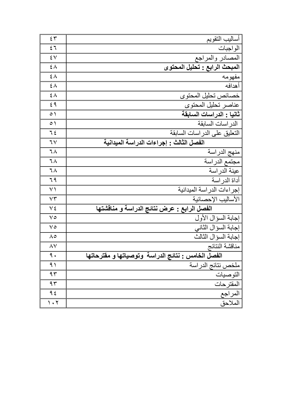| $\epsilon$ $\tau$               | أساليب التقويم                                     |
|---------------------------------|----------------------------------------------------|
| 57                              | الو اجبات                                          |
| $\mathbf{\mathbf{y}}$           | المصادر والمراجع                                   |
| $\epsilon \wedge$               | المبحث الرابع : تحليل المحتوى                      |
| $\epsilon \wedge$               | مفهومه                                             |
| ٤٨                              | أهدافه                                             |
| ٤٨                              | خصائص تحليل المحتوى                                |
| ٤٩                              | عناصر تحليل المحتوى                                |
| $\circ$ )                       | ثانيا : الدراسات السابقة                           |
| $\circ$ )                       | الدر اسات السابقة                                  |
| $7\xi$                          | التعليق على الدر اسات السابقة                      |
| 7 <sub>V</sub>                  | الفصل الثالث : إجراءات الدراسة الميدانية           |
| ٦٨                              | منهج الدراسة                                       |
| ٦٨                              | مجتمع الدراسة                                      |
| ٦٨                              | عينة الدر اسة                                      |
| 79                              | أداة الدر اسة                                      |
| $\vee$                          | إجراءات الدراسة الميدانية                          |
| $\vee\uparrow$                  | الأساليب الإحصائية                                 |
| ٧٤                              | الفصل الرابع : عرض نتائج الدراسة و مناقشتها        |
| $\vee$                          | إجابة السؤال الأول                                 |
| $\vee$                          | إجابة السؤال الثاني                                |
| ۸٥                              | إجابة السؤال الثالث                                |
| ۸۷                              | مناقشة النتائج                                     |
| ٩.                              | الفصل الخامس : نتائج الدراسة وتوصياتها و مفترحاتها |
| ۹١                              | ملخص نتائج الدراسة                                 |
| ۹۳                              | التوصيات                                           |
| 95                              | المقترحات                                          |
| 9 {                             | المراجع                                            |
| $\mathcal{C} \cdot \mathcal{C}$ | الملاحق                                            |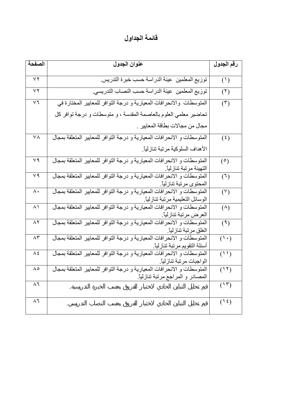### **قائمة الجداول**

| الصفحة        | عنوان الجدول                                                                                                  | رقم الجدول       |
|---------------|---------------------------------------------------------------------------------------------------------------|------------------|
| $\vee$        | توزيع المعلمين عينة الدراسة حسب خبرة التدريس                                                                  | (1)              |
| $\vee$        | توزيع المعلمين عينة الدراسة حسب النصاب التدريسي.                                                              | (1)              |
| $\vee$ $\vee$ | المتوسطات والانحرافات المعيارية و درجة التوافر للمعايير المختارة في                                           | $(\tilde{r})$    |
|               | تحاضير معلمي العلوم بالعاصمة المقدسة ، و متوسطات و درجة توافر كل                                              |                  |
|               | مجال من مجالات بطاقة المعايير .                                                                               |                  |
| $\vee \wedge$ | المتوسطات و الانحرافات المعيارية و درجة التوافر للمعايير المتعلقة بمجال                                       | $(\mathfrak{t})$ |
|               | الأهداف السلوكية مرتبة تنازلياً.                                                                              |                  |
| $\vee$ 9      | المتوسطات و الانحرافات المعيارية و درجة التوافر للمعايير المتعلقة بمجال<br>التهيئة مرتبة تنازلياً             | (°)              |
| $\vee$ 9      | المتوسطات و الانحرافات المعيارية و درجة التوافر للمعايير المتعلقة بمجال<br>المحتوى مرتبة تنازلياً.            | (7)              |
| $\wedge\cdot$ | المتوسطات و الانحرافات المعيارية و درجة التوافر للمعايير المتعلقة بمجال<br>الوسائل التعليمية مرتبة تنازلياً.  | (Y)              |
| $\wedge$      | المتوسطات و الانحرافات المعيارية و درجة التوافر للمعايير المتعلقة بمجال<br>العرض مرتبة تنازلياً.              | $(\wedge)$       |
| $\wedge$      | المتوسطات و الانحرافات المعيارية و درجة التوافر للمعايير المتعلقة بمجال<br>الغلق مرتبة تنازلياً.              | (9)              |
| $\wedge$ ۳    | المتوسطات و الانحرافات المعيارية و درجة التوافر للمعايير المتعلقة بمجال<br>أسئلة التقويم مرتبة تنازلياً.      | $(1 \cdot)$      |
| $\Lambda$ {   | المتوسطات و الانحرافات المعيارية و درجة التوافر للمعايير المتعلقة بمجال<br>الواجبات مرتبة تنازلياً.           | (11)             |
| $\Lambda$ 0   | المتوسطات و الانحر افات المعيارية و درجة التوافر للمعايير المتعلقة بمجال<br>المصادر و المراجع مرتبة تنازلياً. | (11)             |
| $\wedge$ ٦    |                                                                                                               | (15)             |
| $\wedge$      |                                                                                                               | $(1 \xi)$        |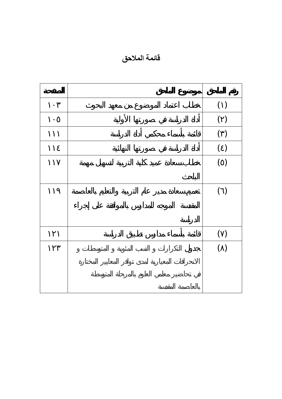**قائمة الملاحق** 

|  | $(\phantom{a})$ |
|--|-----------------|
|  | $(\ )$          |
|  | $(\ )$          |
|  | $( \ )$         |
|  | ( )             |
|  |                 |
|  | $(\phantom{a})$ |
|  |                 |
|  |                 |
|  | $(\phantom{a})$ |
|  | ( )             |
|  |                 |
|  |                 |
|  |                 |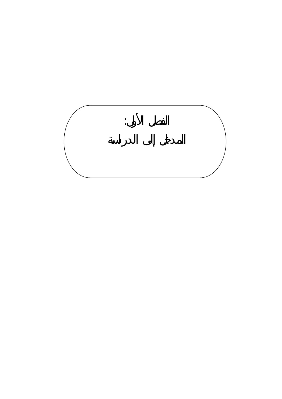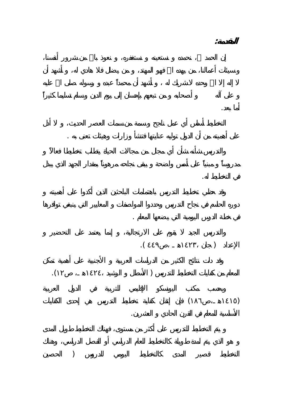أما بعد المستخدم المستخدم المستخدم المستخدم المستخدم المستخدم المستخدم المستخدم المستخدم المستخدم المستخدم الم<br>أما بعد المستخدم المستخدم المستخدم المستخدم المستخدم المستخدم المستخدم المستخدم المستخدم المستخدم المستخدم الم على أهميته من أن الدول توليه عنايتها فتنشأ وزارات وهيئات تعنى به . في التخطيط له. في خطة الدرس اليومية التي يضعها المعلم .  $\mathcal{L}(\mathcal{L}(\mathcal{L}))$  $\mathcal{N}(\mathcal{N})$  $($ الأساسية للمعلم في القرن الحادي العشرين.  $\big)$ 

**المقدمة:**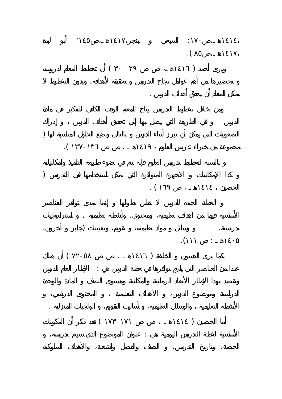$\mathcal{L}$  $($  -  $)$ يمكن للمعلم أن يحقق أهداف الدرس .  $\Gamma$  $\Lambda$  $\Gamma$  $\blacksquare$ تدريسية، وسائل مواد تعليمية، تقويم، وتعيينات (جابر آخرون، ١٤٠٥هـ : ١١١).  $($  -  $)$ عددا من العناصر التي يلزم توافرها في خطة الدرس هي : الإطار العام للدرس الأنشطة التعليمية والوسائل التعليمية، أساليب التقويم، الواجبات المنزلية .  $($   $-$ الأساسية لخطة التدريس اليومية هي : عنوان الموضوع الذي سيتم تدريسه،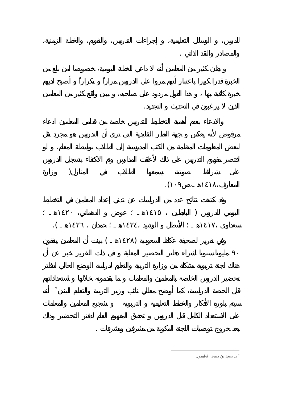$\big)$  $\mathcal{N}$ وفي تقرير لصحيفة عكاظ السعودية (١٤٢٨هـ ) بينت أن المعلمين ينفقون

أنه <sup>∗</sup> قبل الحصة الدراسية، كما أوضح معالي نائب وزير التربية والتعليم للبنين

بعد خروج توصيات اللجنة المكونة من مشرفين ومشرفات .

الذين يرغبون في التحديث التجديد.

 $\big)$ 

 $\blacksquare$ 

والمصادر والنقد الذاتي .

<sup>د</sup>. سعيد بن محمد المليص. <sup>∗</sup>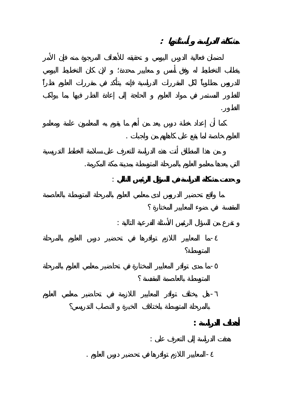**مشكلة الدراسة أسئلتها :**  التطور. العلوم خاصة للعلوم خاصة للعلوم خاصة للعلوم خاصة للعلوم .<br>العلوم خاصة لما يقع على كاهلهم من واجبات .<br>العلوم من واجبات . التي يعدها معلمو العلوم بالمرحلة المتوسطة بمدينة مكة المكرمة. **حددت مشكلة الدراسة في السؤال الرئيس التالي** : تفرع من السؤال الرئيس الأسئلة الفرعية التالية : - المعايير اللازم توافرها في تحضير درس العلوم بالمرحلة المتوسطة بالعاصمة المقدسة-ما مدى توافر المعايير المختارة في تحاضير معلمي العلوم بالمرحلة -هل يختلف توافر المعايير اللازمة في تحاضير معلمي العلوم **أهداف الدراسة :** هدف الدراسة إلى التعرف على :

-المعايير اللازم تو فرها في تحضير درس العلوم .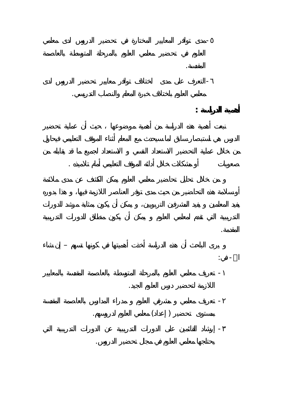العلوم في تحضير معلمي العلوم بالمرحلة المتوسطة بالعاصمة-مدى توافر المعايير المختارة في تحضير الدروس لدى معلمي المقدسة.<br>المقدسة المقدسة المقدسة المقدسة المقدسة المقدسة المقدسة المقدسة المقدسة المقدسة المقدسة المقدسة المقدسة المقدس<br>المقدسة المقدسة المقدسة المقدسة المقدسة المقدسة المقدسة المقدسة المقدسة المقدسة المقدسة المقدسة المقد -التعرف على مدى اختلاف توافر معايير تحضير الدروس لدى معلمي العلوم باختلاف خبرة المعلم والنصاب التدريسي. **أهمية الدراسة :** صعوبات أو مشكلات خلال أدائه الموقف التعليمي أمام تلاميذه . المقدمة. يرى الباحث أن هذه الدراسة أخذت أهميتها في كونها تسهم – إن شاء االله- في:  $\alpha$  is the property of the property in  $\alpha$ اللازمة لتحضير درس العلوم الجيد. -  $\frac{1}{2}$ 

# بمستوى تحضير ( إعداد) معلمي العلوم لدروسهم.

- إرشاد القائمين على الدورات التدريبية عن الدورات التدريبية التي يحتاجها معلمي العلوم في مجال تحضير الدروس.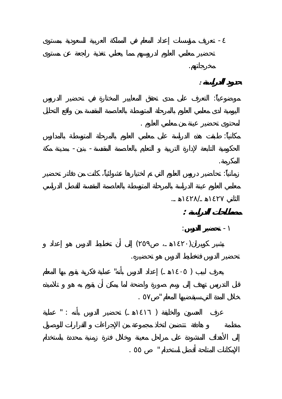-  $\sim$  100  $\sim$  100  $\sim$  100  $\sim$ مخرجاتهم.<br>مخرجاتهم.<br>مخرجاتهم. **حدود الدراسة :**  موضوعياً: التعرف على مدى تحقق المعايير المختارة في تحضير الدروس لمحتوى تحضير عينة من معلمي العلوم . مكانياً: طبقت هذه الدراسة على معلمي العلوم بالمرحلة المتوسطة بالمدارس الحكومية التابعة لإدارة التربية التعليم بالعاصمة المقدسة- بنين- بمدينة مكة المكرمة. زمانياً: تحاضير دروس العلوم التي تم اختيارها عشوائياً، كانت من دفاتر تحضير الثاني ١٤٢٧هـ١٤٢٨/هـ. **مصطلحات الدراسة :**  - **تحضير الدرس**:  $($ تحضير الدر فتخطيط الدرس هو تحضيره.  $\mathbf{I}$  , we have the set of  $\mathbf{I}$  and  $\mathbf{I}$  are  $\mathbf{I}$  as  $\mathbf{I}$  and  $\mathbf{I}$  are  $\mathbf{I}$  as  $\mathbf{I}$  as  $\mathbf{I}$  and  $\mathbf{I}$  are  $\mathbf{I}$  and  $\mathbf{I}$  are  $\mathbf{I}$  and  $\mathbf{I}$  and  $\mathbf{I}$  are  $\mathbf{I}$  and خلال المدة التي سيقضيها المعلم " ٥٧ .  $\mathbf{I}^{\mathbf{u}}$  is the set of the set of the set of the set of the set of the set of the set of the set of the set of the set of the set of the set of the set of the set of the set of the set of the set of the set of the

الإمكانات المتاحة أفضل استخدام " ٥٥ .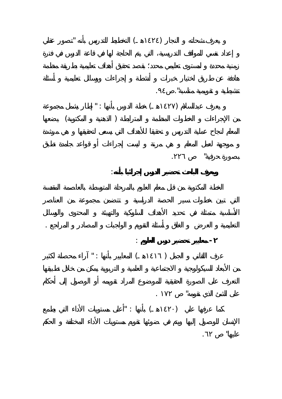

 $"$  :  $($ 

عليها" .٦٢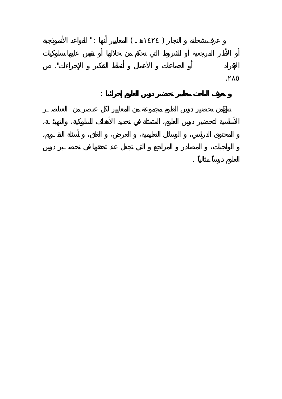$\qquad \qquad (\qquad \qquad )$ 

**يعرف الباحث معايير تحضير درس العلوم إجرائيا** :

.٢٨٥

العلوم درساً مثالياً .

الإفراد أو الجماعات الأعمال أنماط التفكير الإجراءات".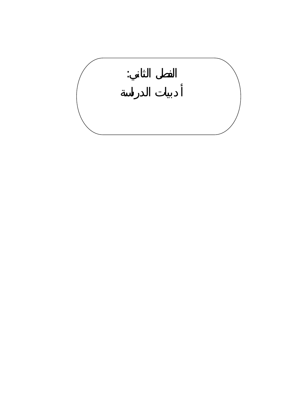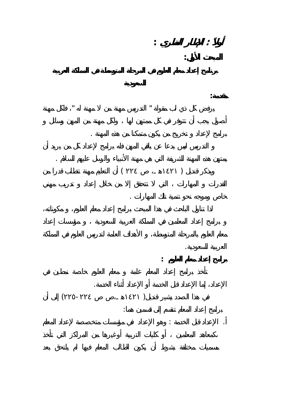**أولاً : الإطار النظري : المبحث الأول: مقدمة:**  يرفض كل ذي لب مقولة " التدريس مهنة من مهنة له " فلكل مهنة

برامج لإعداد تخريج من يكون متمكنا من هذه المهنة . يمتهن هذه المهنة الشريفة التي هي مهنة الأنبياء والرسل عليهم السلام .  $($  (1871)  $)$ 

خاص وموجه نحو تنمية تلك المهارات .

العربية السعودية. **برامج إعداد معلم العلوم :**  الإعداد، إما الإعداد قبل الخدمة أو الإعداد أثناء الخدمة.

 $($  -  $)$ برامج إعداد المعلم تنقسم إلى قسمين هما: . الإعداد قبل الخدمة : وهو الإعداد في مؤسسات متخصصة لإعداد المعلم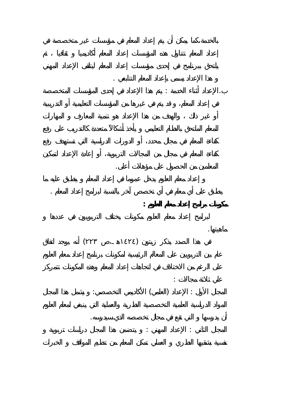هذا الإعداد يسمى بإعداد المعلم التتابعي . .الإعداد أثناء الخدمة : يتم هذا الإعداد في إحدى المؤسسا المتخصصة المعلمين من الحصول على مؤهلات أعلى. ينطبق على أي معلم في أي تخصص آخر بالنسبة لبرامج إعداد المعلم . **مكونات برامج إعداد معلم العلوم :**  ماهيتها.  $(1.12)$  and  $(1.12)$  in the set of the set of the set of the set of the set of the set of the set of the set of the set of the set of the set of the set of the set of the set of the set of the set of the set of the set o

علي ثلاثة مجالات :  $\vdots$  is the set of the set of  $\left(\begin{array}{ccc} 1 & 0 \end{array}\right)$  is the set of the set of the set of the set of the set of the set of the set of the set of the set of the set of the set of the set of the set of the set of the set o أن يدرسها التي تقع في مجال تخصصه الذي سيدرسه.

المجال الثاني : الإعداد المهني : يتضمن هذا المجال دراسات تربوية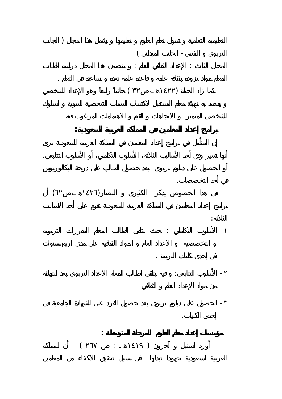التعليمية التعلمية تسهل تعلم العلوم تعليمها يشمل هذا المجال ( الجانب التربوي النفسي- الجانب الميداني ) المجال الثالث : الإعداد الثقافي العام : يتضمن هذا المجال دراسة الطالب المعلم مواد تزوده بثقافة عامة قاعدة عامه تعده تساعده في التعلم .  $($  **برامج إعداد المعلمين في المملكة العربية السعودية:**  في أحد التخصصات.  $($ الثلاثة: - الأسلوب التكاملي : حيث يتلقى الطالب المعلم المقررات التربوية في إحدى كليات التربية . - الأسلوب التتابعي: في يتلقى الطالب المعلم الإعداد التربوي بعد انتهائه من مواد الإعداد العام الثقافي. - الحصول على دبلوم تربوي بعد حصول الفرد على الشهادة الجامعية في إحدى الكليات. **مؤسسات إعداد معلم العلوم للمرحلة المتوسطة :**   $($   $\vdots$   $)$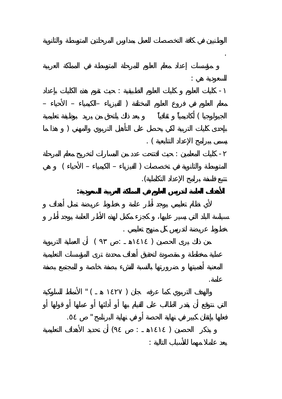

.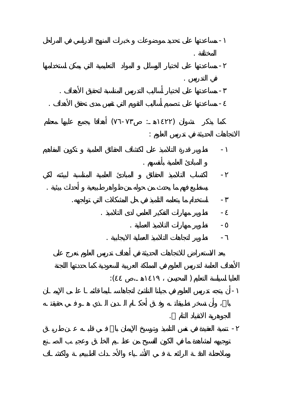

- اكتساب التلاميذ الحقائق المبادئ العلمية المناسبة لبيئته لكي يستطيع فهم ما يحدث من حوله من ظواهر طبيعية أحداث بيئية .

- استخدام ما يتعلمه التلميذ في حل المشكلات التي تواجهه. - تطوير مهارات التفكير العلمي لدى التلاميذ . - تطوير مهارات التلاميذ العملية .

- تطوير اتجاهات التلاميذ العملية الايجابية .

 $\hspace{.1cm}$ 

بالله، وأن تسخر تطبيقات الـدين الـدين الـدين الـدين الـدين الـدين الناشئ الناشئ الناشئ الناشئ الـدين الـدين ال<br>أن يتجه تدريس العلوم في جيلنا الناشئ العلوم في جيلنا الناشئ الناشئ الناشئ الناشئ الناشئ الإيمانية في جيلنا الن الجوهرية الانقياد التام .

- تنمية العقيد في نفس التلميذ وترسيخ الإيمان باالله فـي قلبـه عـن طريـق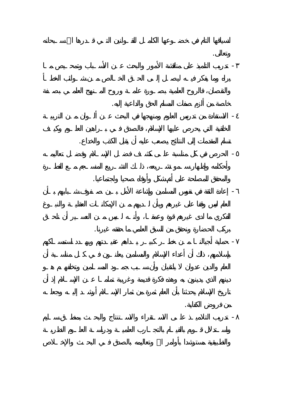وتعالى. - تدريب التلميذ على مناقشة الأمور والبحث عـن الأسـباب وتمحـيص مـا

خاصة من ألزم صفات المسلم الحق والداعية إليه. - الاستفادة من تدريس العلوم ومنهجها في البحث عـن ألـوان مـن التربيـة

تسلم المقدمات إلى النتائج يصعب عليه أن يقبل الكذب والخداع.  $\mathcal{L}(\mathcal{L}) = \mathcal{L}(\mathcal{L})$ 

والمحقق للمصلحة على أتم شكل وأوفاه صحيا واجتماعيا. - إعادة الثقة في نفوس المسلمين وإشاعة الأمل بـين صـفوف شـبابهم بـأن العلم ليس وقفا على غيرهم وبأن لـديهم مـن الإمكانـات العقليـة والنبـوغ

بركب الحضارة ونحقق من السبق العلمي ما حققه غيرنا. - حماية أجيالنـا مـن خطـر كبيـر يـداهم عقيـدتهم ويهـدد استمسـاكهم

من فروض الكفاية. -  $\sim$   $\sim$   $\sim$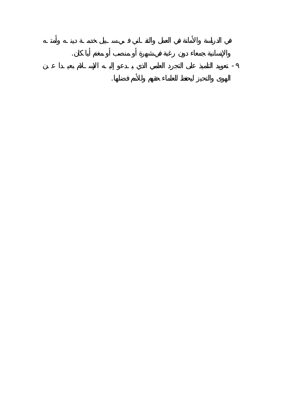والإنسانية جمعاء دون رغبة في شهرة أو منصب أو مغنم أيا كان. - الهوى والتحيز ليحفظ للعلماء حقهم وللأم فضلها.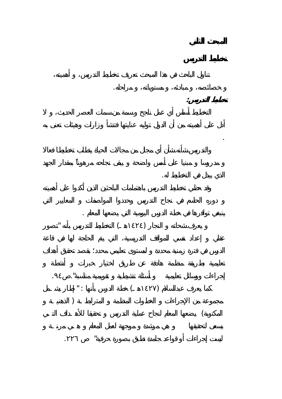

خصائصه، مبادئه، مستوياته، مراحله.

**تخطيط التدريس:**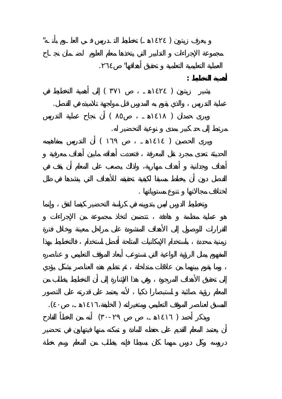

اختلاف مجالاتها تنوع مستوياتها .

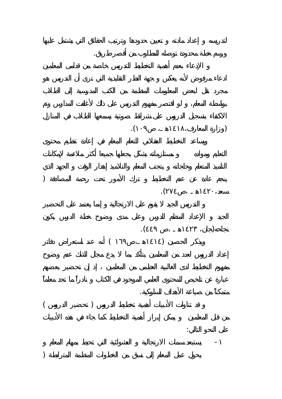(وزارة المعارف١٤١٨،هـ، ١٠٩). ينجم عادة عن عدم التخطيط ترك الأمور تحت رحمة المصادفة (  $\mathcal{L}$ نجاحه(جان، ١٤٢٣هـ ،ص ٤٤٩).  $($ متمكناً من صياغة الأهداف السلوكية.  $($ على النحو التالي: - يستبعد سمات الارتجالية العشوائية التي تحيط بمهام المعلم  $\overline{a}$ 

ورسم خطة محدودة توصله للمطلوب من أقصر طريق.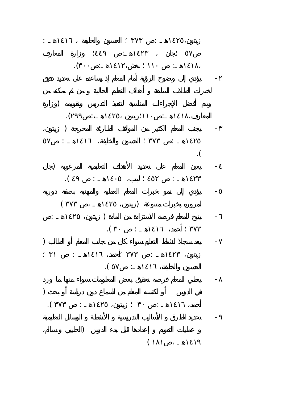زيتون الحسون والخليفة المستقبل والخليفة المستقبل والخليفة المستقبل والخليفة المستقبل والخليفة المستقبل ٥٧ ؛جان ١٤٢٣هـ: ٤٤٩ وزارة المعارف ا: المساحة المساحة المساحة المساحة المساحة المساحة المساحة المساحة المساحة المساحة المساحة المساحة المساحة الم<br>المساحة المساحة المساحة المساحة المساحة المساحة المساحة المساحة المساحة المساحة المساحة المساحة المساحة المساح - يؤدي إلى وضوح الرؤية أمام المعلم إذ يساعده على تحديد دقيق رسم أفضل الإجراءات المناسبة لتنفيذ التدريس وتقويمه (وزارة المعارف١٤١٨،هـ: ١١٠؛زيتون ١٤٢٥هـ:، ٢٩٩). - يجنب المعلم الكثير من المواقف الطارئة المحرجة ( زيتون، ١٤٢٥هـ : ٣٧٣ الحسون والخليفة، ١٤١٦هـ : ٥٧  $\blacksquare$ . - يعين المعلم على تحديد الأهداف التعليمية المرغوبة (جان ١٤٢٣هـ : ٤٥٢ لبيب، ١٤٠٥هـ : ٤٩ ). - يؤدي إلى نمو خبرات المعلم العملية والمهنية بصفة دورية لمروره بخبرات متنوعة (زيتون، ١٤٢٥هـ ،ص ٣٧٣ )  $\qquad \qquad \vdots \qquad \qquad \qquad \qquad$  $\mathbf{r}$  is a set of  $\mathbf{r}$  is a set of  $\mathbf{r}$  is a set of  $\mathbf{r}$  is a set of  $\mathbf{r}$  $\overline{\phantom{a}}$  ) and the state  $\overline{\phantom{a}}$ زيتون، ١٤٦٦، إذا يتون، ١٤٦٦، إذا يتون، إذا يتون، إذا يتون، إذا يتون، إذا يتون، إذا يتون، إذا يتون، إذا يتون، إ  $\mathbf{I}(\mathbf{I}(\mathbf{I}))$  is a set of  $\mathbf{I}(\mathbf{I})$ 

- يعطي للمعلم فرصة تحقي بعض المعلومات سواء منها ما ورد  $\Gamma$ أحمد، ١٤١٦هـ : ٣٠ زيتون، ١٤٢٥هـ : ٣٧٣ ). - تحديد الطرق الأساليب التدريسية الأنشطة الوسائل التعليمية

 $\big)$  $\left($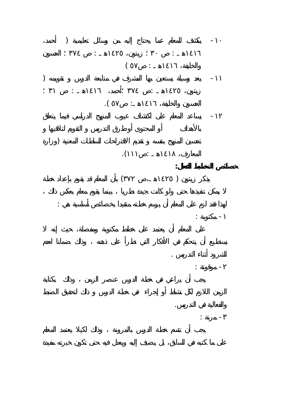-١٠ يكشف للمعلم عما يحتاج إليه من وسائل تعليمية ( أحمد، ١٤١٦هـ : ٣٠ زيتون، ١٤٢٥هـ : ٣٧٤ الحسون  $($   $\vdots$   $)$ -١١ يعد وسيلة يستعين بها المشرف في متابعة الدرس تقويمه ( زيتون، ١٤٦٥هـ : ٣٧٤ ، ٣٧٤ ، ٣٧٤ ، ٣٧٤ ، ٣٧٢ ، ٣٧٢ ، ٣٧٢ ، ٣٧٢ ، ٣  $\mathbf{I}(\mathbf{I}(\mathbf{I}))$ 

-١٢ يساعد المعلم على اكتشاف عيوب المنهج الدراسي فيما يتعلق  $\Gamma$  $\mathbf{1}$ **خصائص التخطيط الفعال:**   $($ 

لهذا فقد لزم على المعلم أن يرسم خطته متقيدا بخصائص أساسية هي :  $+$ 

الشرود أثناء التدريس . -  $\frac{1}{2}$  and  $\frac{1}{2}$  and  $\frac{1}{2}$ 

والفعالية في التدريس.  $\frac{1}{2}$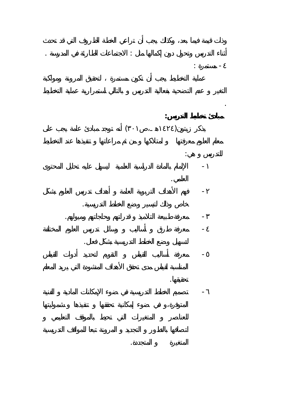أثناء التدريس وتحول دون إكمالها مثل بالاجتماعات الطارئة في الاجتماعات الطارئة في المدرسة . الاجتماعات الطارئة  $\frac{1}{2}$ 

.

**مبادئ تخطيط لتدريس:**   $($ 

للتدريس هي: - الإلمام بالمادة الدراسية العلمية ليسهل عليه تحليل المحتوى العلمي.

- فهم الأهداف التربوية العامة أهداف تدريس العلوم بشكل خاص وذلك لتيسير وضع الخطط التدريسية. - معرفة طبيعة التلاميذ قدراتهم وحاجاتهم وميولهم.

- معرفة طرق أساليب وسائل تدريس العلوم المختلفة لتسهيل وضع الخطط التدريسية بشكل فعال. - معرفة أساليب القياس التقويم لتحديد أدوات القياس

تحقيقها. - تصميم الخطط التدريسية في ضوء الإمكانات المادية الفني

المتغيرة المتجددة.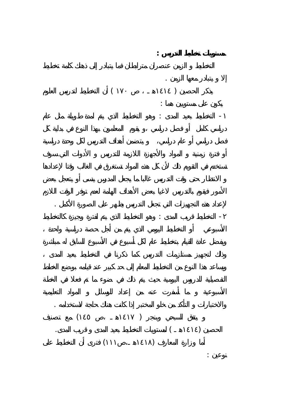**مستويات تخطيط لتدريس :**  إلا يتبادر معها الزمن .  $($ يكون على مستويين هما : - التخطيط بعيد المدى : وهو التخطيط الذي يتم لمدة طويلة مثل عام لإعداد هذه التجهيزات التي تجعل التدريس يظهر على الصورة الأكمل . - التخطيط قريب المدى : وهو التخطيط الذي يتم لفترة وجيزة كالتخطيط والاختبارات التأكد من خلو المختبر إذا كانت هناك حاجة لاستخدامه .  $($   $)$  $\mathbf{1}$  and  $\mathbf{1}$  and  $\mathbf{1}$  and  $\mathbf{1}$  and  $\mathbf{1}$  and  $\mathbf{1}$  and  $\mathbf{1}$  and  $\mathbf{1}$  and  $\mathbf{1}$  and  $\mathbf{1}$  and  $\mathbf{1}$  and  $\mathbf{1}$  and  $\mathbf{1}$  and  $\mathbf{1}$  and  $\mathbf{1}$  and  $\mathbf{1}$  and  $\mathbf{1}$  and  $($ نوعين :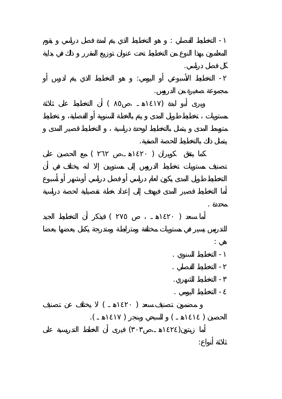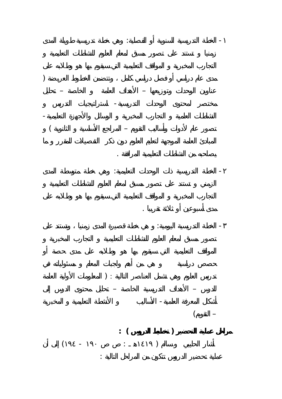- الخطة التدريسية السنوية أو الفصلية: وهي خطة تدريسية طويلة المدى  $\Gamma$ عناوين الوحدات وتوزيعها – الأهداف العامة الخاصة – تحليل مختصر لمحتوى الوحدات التدريسية- استراتيجيات التدريس النشاطات العلمية التجارب المخبرية الوسائل والأجهزة التعليمية-  $\begin{pmatrix} -1 & -1 & -1 \\ 0 & -1 & 0 \end{pmatrix}$ يصاحبه من النشاطات التعليمية المرافقة . - الخطة التدريسية ذات الوحدات التعليمية: وهي خطة متوسطة المدى مدى أسبوعين أو ثلاثة تقريبا . - الخطة التدريسية اليومية: هي خطة قصيرة المدى زمنيا وتستند على تدريس العلوم وهي تشمل العناصر التالية : ( المعلومات الأولية العامة للدرس – الأهداف التدريسية الخاص – تحليل محتوى الدرس إلى أشكال المعرفة العلمية- الأساليب الأنشطة التعليمية المخبرية  $($   $-$ **مراحل عملية التحضير ( تخطيط الدروس ) :**   $($  -  $($   $)$ عملية تحضير الدروس تتكون من المراحل التالية :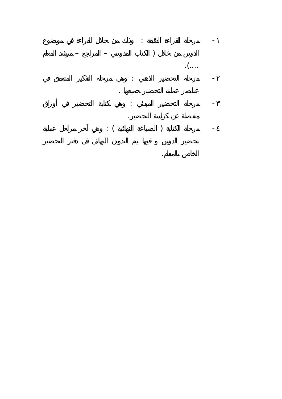

الخاص بالمعلم.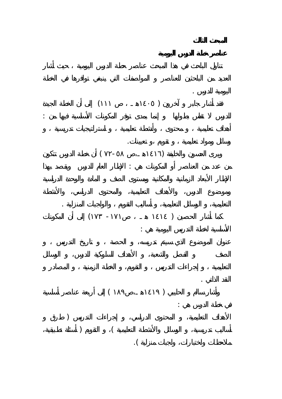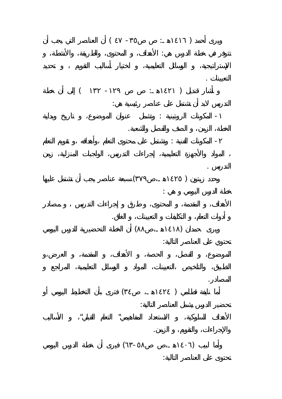$($   $)$   $($   $)$ تتوفر في خطة الدرس هي: الأهداف، المحتوى، والطريقة، والأنشطة، التعيينات .  $($   $)$ التدريس لابد أن تشتمل على عناصر رئيسية هي: - المكونات الروتينية : وتشمل عنوان الموضوع، تاريخ وبداية الخطة، الزمن، الصف والفصل والشعبة. - المكونات الفنية : وتشتمل على محتوى التعلم ،وأهدافه ،و تقويم التعلم التدريس .  $($ خطة الدرس اليومي هي : أدوات التعلم، التكليفات التعيينات، الغلق.  $(1)$ تحتوي على العناصر التالية: المصادر.  $($ تحضير الدرس يشمل العناصر التالية: الأهداف السلوكية، الاستعداد المفاهيمي" لتعلم القبلي" الأساليب والإجراءات، والتقويم، الزمن.  $($  -  $)$ تحتوى على العناصر التالية: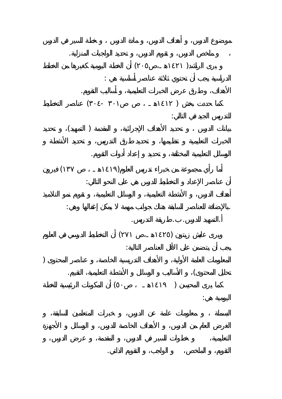ملخص الدرس، تقويم الدرس، تحديد الواجبات المنزلية.  $($ الدراسية يجب أن تحتوي ثلاثة عناصر أساسية هي : الأهداف، طرق عرض الخبرات التعليمية، أساليب التقويم.  $($  -  $)$ للتدريس الجيد في التالي:  $($  (  $)$ الوسائل التعليمية المختلفة، تحديد إعداد أدوات التقويم.  $($ أن عناصر الإعداد التخطيط للدرس هي على النحو التالي: .بالإضافة للعناصر السابقة هناك جوانب مهمة يمكن إغفالها وهي: .التمهيد للدرس. . طريقة التدريس.  $(1)$  and the set of the set of the  $(1)$ يجب أن يتضمن على الأقل العناصر التالية: المعلومات العامة الأولية، الأهداف التدريسية الخاصة، عناصر المحتوى ( تحليل المحتوى) الأساليب الوسائل الأنشطة التعليمية، التقييم.  $($ اليومية هي:

التقويم، الملخص، الواجب، التقويم الذاتي.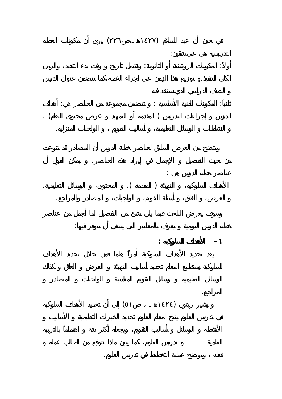$($ التدريسية هي على شقين: أولاً: المكونات الروتينية أو الثانوية: وتشمل تاريخ وقت بدء التنفيذ، والزمن الصف الدراسي لذي ستنفذ فيه. ثانياً: المكونات الفنية الأساسية : تتضمن مجموعة من العناصر هي: أهداف  $($ النشاطات الوسائل التعليمية، أساليب التقويم الواجبات المنزلية. عناصر خطة الدرس هي :  $($ العرض، الغلق، أسئلة التقويم، الواجبات، المصادر والمراجع. خطة الدرس اليومية يعرف بالمعايير التي ينبغي أن تتوفر فيها: **- الأهداف السلوكية :** المراجع.  $(1)$  )  $(1)$ 

فعله ويوضح عملية التخطيط في تدريس العلوم.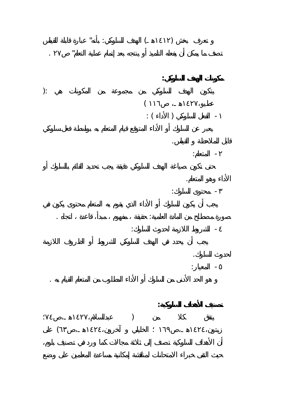$\cdots$  is a set of  $\cdots$  (i.e. ) تصف ما يمكن أن يفعله التلميذ أو ينتجه بعد إتمام عملية التعل " ٢٧ . **مكونات الهدف السلوكي:**   $\mathbf{r}$  $\left($  $\vdots$  (  $\qquad$  )  $\qquad$  -قابل للملاحظة القياس.  $\frac{1}{2}$ الأداء وهو المتعلم.  $\frac{1}{2}$ صورة مصطلح من المادة العلمية: حقيقة مفهوم مبدأ، قاعدة اتجاه . - الشروط اللازمة لحدوث السلوك: لحدوث السلوك.  $\frac{1}{2}$ هو الحد الأدنى من السلوك أو الأداء المطلوب من المتعلم القيام به .

**تصنيف الأهداف السلوكية:**   $)$  $\left($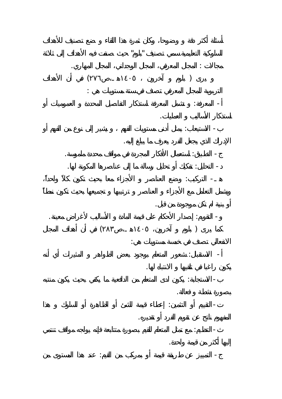السلوكية التعليمية سمي تصنيف "بلوم" حيث صنفت فيه الأهداف إلى ثلاثة مجالات : المجال المعرفي، المجال الوجداني، المجال المهاري.  $($ التربوية للمجال المعرفي تصنف في ستة مستويات هي : -  $\mathbb{R}^n$  -  $\mathbb{R}^n$  in the set of  $\mathbb{R}^n$ استذكار لأساليب العمليات. - الاستيعاب: يمثل أدنى مستويات الفهم يشير إلى نوع من الفهم أو الإدراك الذي يجعل الفرد يعرف ما يبلغ إليه. - التطبيق: استعمال الأفكار المجردة في مواقف محددة ملموسة. - التحليل: تفكيك أو تحليل رسالة ما إلى عناصرها المكونة لها.  $\mathbb{R}^2 \times \mathbb{R}^2 \times \mathbb{R}^2 \times \mathbb{R}$ الأجزاء معا أو بنية لم تكن موجودة من قبل. - التقويم: إصدار الأحكام على قيمة المادة الأساليب لأغراض معينة.  $($ الانفعالي تصنف في خمسة مستويات هي:  $\frac{1}{2}$  -  $\frac{1}{2}$  ,  $\frac{1}{2}$  ,  $\frac{1}{2}$  ,  $\frac{1}{2}$  ,  $\frac{1}{2}$  ,  $\frac{1}{2}$  ,  $\frac{1}{2}$  ,  $\frac{1}{2}$  ,  $\frac{1}{2}$  ,  $\frac{1}{2}$  ,  $\frac{1}{2}$  ,  $\frac{1}{2}$  ,  $\frac{1}{2}$  ,  $\frac{1}{2}$  ,  $\frac{1}{2}$  ,  $\frac{1}{2}$  ,  $\frac{1}{2}$  ,  $\frac{1$ يكون راغبا في تلقيها الانتباه لها. -  $\mathbf{r}_\mathrm{c}$  (  $\mathbf{r}_\mathrm{c}$  ):  $\mathbf{r}_\mathrm{c}$  by  $\mathbf{r}_\mathrm{c}$  ,  $\mathbf{r}_\mathrm{c}$ بصورة نشطة فعالة. - التقييم أو التثمين: إعطاء قيمة للشئ أو الظاهرة أو السلوك هذا المفهوم ناتج عن تقويم الفرد أو تقديره. -  $\alpha$  in the probability of  $\alpha$ إليها أكثر من قيمة واحدة. - التمييز عن طريقة قيمة أو بمركب من القيم: عند هذا المستوى من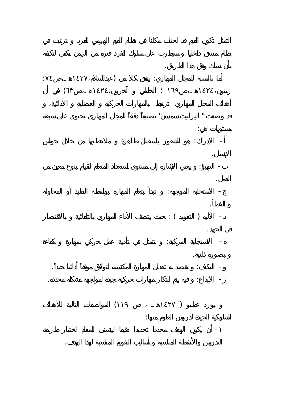بأن يسلك وفق هذا الطريق. in the set of the set of the set of the set of the set of the set of the set of the set of the set of the set of the set of the set of the set of the set of the set of the set of the set of the set of the set of the set o  $\left($ قد وضعت " اليزابيث سمبسن" تصنيفاً دقيقاً للمجال المهاري يحتوي على سبعة مستويات هي: - الإدراك: هو الشعور باستقبال ظاهرة ملاحظتها من خلال حواس الإنسان. -  $\mathbf{r}_1$  ,  $\mathbf{r}_2$  are an independent of  $\mathbf{r}_1$ - الاستجابة الموجهة: تبدأ بتعلم المهارة بواسطة التقليد أو المحاولة الخطأ.

 $\colon (\hspace{-.4cm} \longrightarrow \hspace{-.4cm} \longrightarrow \hspace{-.4cm} \longrightarrow \hspace{-.4cm} \longrightarrow \hspace{-.4cm} \longrightarrow \hspace{-.4cm} \longrightarrow \hspace{-.4cm} \longrightarrow \hspace{-.4cm} \longrightarrow \hspace{-.4cm} \longrightarrow \hspace{-.4cm} \longrightarrow \hspace{-.4cm} \longrightarrow \hspace{-.4cm} \longrightarrow \hspace{-.4cm} \longrightarrow \hspace{-.4cm} \longrightarrow \hspace{-.4cm} \longrightarrow \hspace{-.4cm} \longrightarrow \hspace{-.4cm} \longrightarrow \hspace{-.4cm} \longrightarrow \hspace{-.4cm} \longrightarrow \hspace{-.4cm} \longrightarrow \hspace{-.4cm} \longrightarrow \hspace{-.4cm}$ في الجهد. - الاستجابة المركبة: تتمثل في تأدية عمل حركي بمهارة كفاءة عمل حركي بمهارة كفاءة  $\sigma$ بصورة ذاتية. - التكيف: يقصد به تعديل المهارة المكتسبة لتوافق موقفاً أدائيا جيداً. - الإبداع: فيه يتم ابتكار مهارات حركية جيدة لمواجهة مشكلة محددة.

> $($ السلوكية الجيدة لدروس العلوم منها:

- أن يكون الهدف محددا تحديدا دقيقا ليتسنى للمعلم اختيار طريقة التدريس والأنشطة المناسبة أساليب التقويم المناسبة لهذا الهدف.

العمل.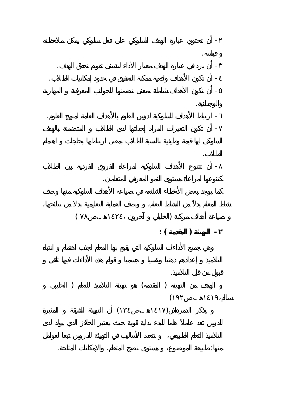- أن تحتوي عبارة الهدف السلوكي على فعل سلوكي يمكن ملاحظته قياسه. - أن يرد في عبارة الهدف معيار الأداء ليتسنى تقويم تحقق الهدف. - أن تكون الأهداف واقعية ممكنة التحقيق في حدود إمكانيات الطلاب. - أن تكون الأهداف شاملة بمعنى تضمنها للجوانب المعرفية المهارية والوجدانية. - ارتباط الأهداف السلوكية لدرس العلوم بالأهداف العامة لمنهج العلوم. - أن تكون التغيرات المراد إحداثها لدى الطلاب المتضمنة بالهدف الطلاب. - أن تتنوع الأهداف السلوكية لمراعاة الفروق الفردية بين الطلاب كتنوعها لمراعاة مستوى النمو المعرفي للمتعلمين.  $($ **- التهيئة ( المقدمة ) :** قبول من قبل التلاميذ. الهدف من التهيئة ( المقدمة) هو تهيئة التلاميذ للتعلم ( الحليبى

 $\langle$  $($ 

منها: طبيعة الموضوع، مستوى نضج المتعلم، والإمكانات المتاحة.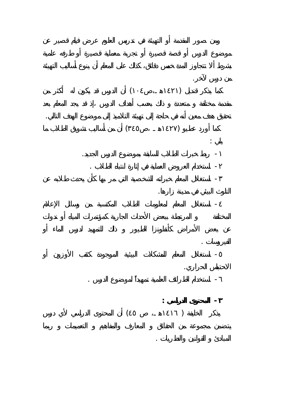من درس لآخر.  $($ تحقيق هدف معين أنه في حاجة إلى تهيئة التلاميذ إلى موضوع الهدف التالي.  $($ يلي : - ربط خبرات الطلاب السابقة بموضوع الدرس الجديد. - استخدام العروض العملية في إثارة انتباه الطلاب . - استغلال المعلم خبراته الشخصية التي مر بها كأن يحدث طلابه عن التلوث البيئي في مدينة زارها. - استغلال المعلم لمعلومات الطلاب المكتسبة من وسائل الإعلام الفيروسات . - استغلال المعلم للمشكلات البيئية الموجودة كثقب الأوزون أو الاحتباس الحراري. - استخدام الطرائف العلمية تمهيداً لموضوع الدرس . **- المحتوى الدراسي :**  $($ 

المبادئ القوانين والنظريات .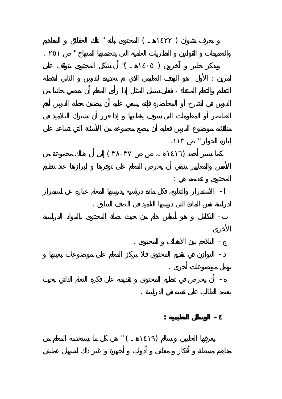$\qquad \qquad \qquad ( \qquad \qquad )$ والتعميمات القوانين النظريات العلمية التي يتضمنها المنهاج " ٢٥١ .  $\sqrt{1-\frac{1}{2}}$  (  $\sqrt{1-\frac{1}{2}}$  ) أمرين : الأول هو الأول هو الهدف التعليمي لأول هو الأول هو الأول هو الأول هو التعليمي للدرس الثاني أن شطة الدرس إثارة الحوار الحوار الحوار الحوار الحوار الحوار الحوار الحوار الحوار الحوار الحوار الحوار الحوار الحوار الحوار<br>الحوار الحوار الحوار الحوار الحوار الحوار الحوار الحوار الحوار الحوار الحوار الحوار الحوار الحوار الحوار الحوا  $($  -  $)$ المحتوى تقديمه هي : - الاستمرار والتتابع، فكل مادة دراسي يدرسها المعلم عبارة عن استمرار لدراسة نفس المادة التي درسها التلميذ في الصف السابق . - التكامل هو أساس هام من حيث صلة المحتوى بالمواد الدراسية الأخرى .  $\mathbf{r} = \mathbf{r} \cdot \mathbf{r}$ - التوازن في تقديم المحتوى فلا يركز المعلم على موضوعات بعينها يهمل موضوعات أخرى . - أن يحرص في تنظيم المحتوى تقديمه على فكرة التعلم الذاتي بحيث يعتمد الطالب على نفسه في الدراسة . **- الوسائل التعليمية :**  $\begin{pmatrix} 1 & 1 & 1 \\ 1 & 1 & 1 \end{pmatrix}$  where  $\begin{pmatrix} 1 & 1 \\ 1 & 1 \end{pmatrix}$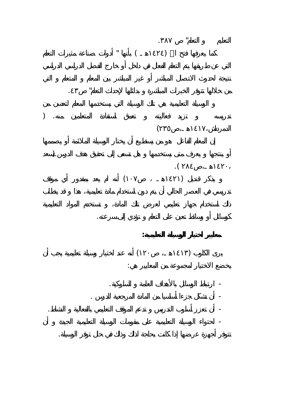التعليم التعلم" .٣٨٧  $\mathbf{I}$  is a set of  $(1, 1)$  by  $(1, 1)$ من خلالها تتوفر الخبرات المباشرة بدائلها لإحداث التعلم" .٤٣ تدريسه تزيد فعاليته تعمق استفادة المتعلمين منه. (  $\left($  $\,$  ).  $\mathcal{L}$  $(1)$  in the set of  $(1)$ كوسائل أو وسائط تعين على التعلم تؤدي إلى سرعته. **معايير اختيار الوسيلة التعليمية:**  $(1)$  and  $(1)$  in  $(1)$  in  $(1)$  in  $(1)$  in  $(1)$  in  $(1)$  in  $(1)$  in  $(1)$  in  $(1)$  in  $(1)$  in  $(1)$  in  $(1)$  in  $(1)$  in  $(1)$  in  $(1)$  in  $(1)$  in  $(1)$  in  $(1)$  in  $(1)$  in  $(1)$  in  $(1)$  in  $(1)$  in  $(1)$  in  $(1)$ يخضع الاختيار لمجموعة من المعايير هي: - ارتباط الوسائل بالأهداف العامة السلوكية. - أن تشكل جزءا أساسيا من المادة المرجعية للدرس . - أن تعزز أسلوب التدريس تدعم الموقف التعليمي بالفعالية النشاط. - احتواء الوسيلة التعليمية على مقومات الوسيلة التعليمية الجيدة أن تتوفر أجهزة عرضها إذا كانت بحاجة لذلك وذلك في حال توفر الوسيلة.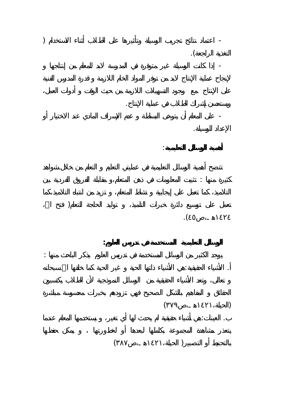- اعتماد نتائج تجريب الوسيلة وتأثيرها على الطلاب أثناء الاستخدام ( التغذية الراجعة). - إذا كانت الوسيلة غير متوفرة في المدرسة لابد للمعلم من إنتاجها ويستحسن إشراك الطلاب في عملية الإنتاج. - على المعلم أن يتوخى البساطة عدم الإسراف المادي عند الاختيار أو الإعداد للوسيلة. **أهمية الوسائل التعليمية**: كثيرة منها : تثبيت المعلومات في ذهن المتعلم،و مقابلة الفروق الفردية بين is a contract of the contract of the contract of the contract of the contract of the contract of the contract of the contract of the contract of the contract of the contract of the contract of the contract of the contract  $\mathcal{L}$ **الوسائل التعليمية المستخدمة في تدريس العلوم:**  يوجد لكثير من الوسائل المستخدمة في تدريس العلوم يذكر الباحث منها : . الأشياء الحقيقية:هي الأشياء ذاتها الحية غير الحية كما خلقها االله سبحانه  $($ . العينات:هي أشياء حقيقية لم يحدث لها أي تغير، يستخدمها المعلم عندما  $($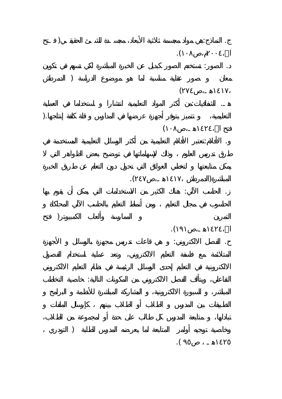. This is a constant of the action of the set of the set of the set of the set of the set of the set of the set of the set of the set of the set of the set of the set of the set of the set of the set of the set of the set  $\mathbf{I}$ . الصور: تستخدم الصور كبديل عن الخبرة المباشرة لكي تسهم في تكوين and a set  $\lambda$  $\left($ هـ. الشفافيات:من أكثر المواد التعليمية انتشارا استخداما في العملية التعليمية، تتميز بتوفر أجهزة عرضها في المدارس قلة كلفة إنتاجها.(  $\left($ . الأفلام:تعتبر الأفلام التعليمية من أكثر الوسائل التعليمية المستخدمة في المباشرة(الدمرداش ١٤١٧هـ،ص٢٤٧). . الحاسب الآلي: هناك الكثير من الاستخدامات التي يمكن أن يقوم بها  $\Gamma$  $\mathcal{L}$ . الفصل الالكتروني: هي قاعات تدريس مجهزة بالوسائل الأجهزة التفاعلي، يتألف الفصل الالكتروني من المكونات التالية: خاصية التخاطب وخاصية توجيه أوامر المتابعة لما يعرضه المدرس للطلبة ( التودري  $\mathcal{L}$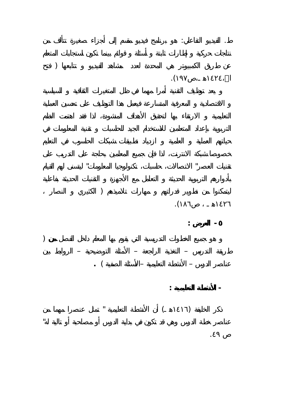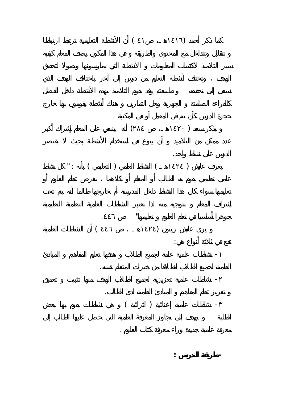$($ حجرة الدرس كأن تتم في المعمل أو في المكتبة .  $($ الدرس على نشاط واحد.  $\text{''}: \quad \text{()} \qquad \text{()}$ جوهرا أساسيا في تعلم العلوم تعليمها" .٤٤٦  $(121)$  and  $(121)$  in the set of the set of the set of the set of the set of the set of the set of the set of the set of the set of the set of the set of the set of the set of the set of the set of the set of the set of تقع في ثلاثة أنواع هي: - نشاطات علمية عامة لجميع الطلاب هدفها تعليم المفاهيم المبادئ العلمية لجميع الطلاب انطلاقا من خبرات المتعلم نفسه. - نشاطات علمية تعزيزية لجميع الطلاب الهدف منها تثبيت تعميق تعزيز تعلم المفاهيم المبادئ العلمية لدى الطالب. - نشاطا علمية إغنائية ( اثرائية ) هي نشاطات يقوم بها بعض

معرفة علمية جديدة وراء معرفة كتاب العلوم . **- طريقة التدريس :**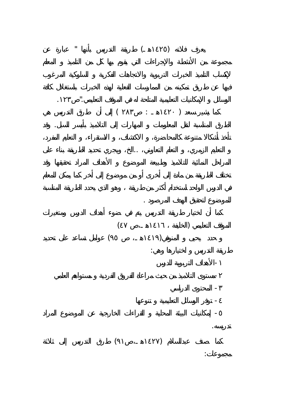$\mathbb{I}$  and the set of  $\mathbb{I}$  (i.e.,  $\mathbb{I}$  ) and  $\mathbb{I}$  and  $\mathbb{I}$  and  $\mathbb{I}$  and  $\mathbb{I}$  and  $\mathbb{I}$  and  $\mathbb{I}$  and  $\mathbb{I}$  and  $\mathbb{I}$  and  $\mathbb{I}$  and  $\mathbb{I}$  and  $\mathbb{I}$  and  $\mathbb{I}$  and  $\mathbb{I}$  a الوسائل الإمكانيات التعليمية المتاحة له في الموقف التعليمي." .١٢٣  $($   $\; : \; 1)$ الطرق المناسبة لنقل المعلومات المهارات إلى التلاميذ بأيسر السبل. وقد التعليم الزمري، التعلم التعاوني، ..الخ، ويجري تحديد الطريقة بناء على للموضوع لتحقيق الهدف لمرصود .  $($  $($ طريقة التدريس اختيارها وهي: -الأهداف التربوية للدرس -مستوى التلاميذ من حيث مراعاة لفروق الفردية مستواهم العلمي - المحتوى الدراسي - توفر الوسائل التعليمية تنوعها - إمكانيات البيئة المحلية القراءات الخارجية عن الموضوع المراد تدريسه.  $($ مجموعات: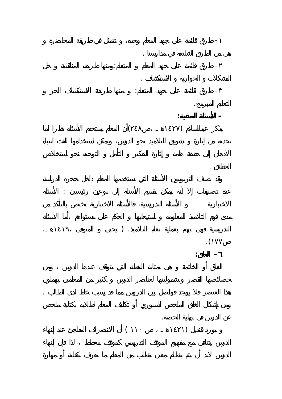- طرق قائمة على جهد المعلم وحده، تمثل في طريقة المحاضرة هي من الطرق الشائعة في مدارسنا . - طرق قائمة على جهد المعلم المتعلم:ومنها طريقة المناقشة حل المشكلات الحوارية الاستكشاف . - طرق قائمة على جهد المتعلم: منها طريقة الاستكشاف الحر التعليم المبرمج. **- الأسئلة الصفية:**   $(1)$  and  $(1)$  in  $(1)$  in  $(1)$  in  $(1)$  in  $(1)$  in  $(1)$  in  $(1)$  in  $(1)$  in  $(1)$  in  $(1)$  in  $(1)$  in  $(1)$  in  $(1)$  in  $(1)$  in  $(1)$  in  $(1)$  in  $(1)$  in  $(1)$  in  $(1)$  in  $(1)$  in  $(1)$  in  $(1)$  in  $(1)$  in  $(1)$ الحقائق . عد تصنيفات إلا أنه يمكن تقسيم الأسئلة إلى نوعين رئيسيين : الأسئلة ) is the contract of the state  $\mathbf{r}$  $\cdot$  ( **- الغلق:** عن الدرس في نهاية الحصة.  $($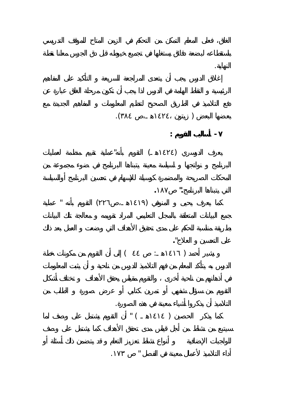

أداء التلاميذ لأعمال معينة في الفصل " .١٧٣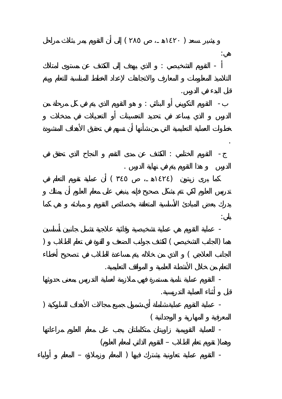$($ هي: - التقويم التشخيصي : الذي يهدف إلى الكشف عن مستوى امتلاك قبل البدء في الدرس. - التقويم التكويني أو البنائي : هو التقويم الذي يتم في كل مرحلة من . - التقويم الختامي : الكشف عن مدى التقدم النجاح الذي تحقق في الدرس هذا التقويم يتم في نهاية الدرس .  $($  $\mathbf{r}$ - عملية التقويم هي عملية تشخيصية وقائية علاجية تشمل جانبين أساسين ) the set of the set of the set of the set of the set of the set of the set of the set of the set of the set of the set of the set of the set of the set of the set of the set of the set of the set of the set of the set of  $\left($ التعلم من خلال الأنشطة العلمية المواقف التعليمية. - التقويم عملية نامية مستمرة فهي ملازمة لعملية التدريس بمعنى حدوثها قبل أثناء العملية التدريسية. - عملية التقويم عملية شاملة أي شمول جميع مجالات الأهداف السلوكية ( المعرفية المهارية الوجدانية ) - للعملية التقويمية زاويتان متكاملتان يجب على معلم العلوم مراعاتها  $($  –  $)$ - التقويم عملية تعاونية يشترك فيها ( المعلم وزملاؤه – المعلم أولياء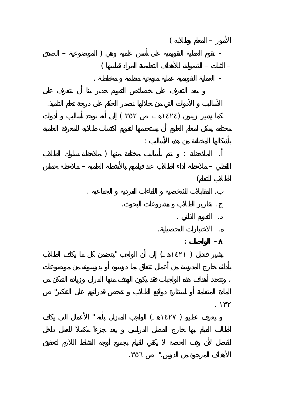$($  –  $)$   $-$ – الثبات – الشمولية للأهداف التعليمية المراد قياسها ) - العملية التقويمية عملية منهجية منظمة مخططة . الأساليب الأدوات التي من خلالها نصدر الحكم على درجة تعلم التلميذ.  $($ بأشكالها المختلفة من هذه الأساليب : . The intervals of the intervals of the intervals of the intervals of the intervals of the intervals of the intervals of the intervals of the intervals of the intervals of the intervals of the intervals of the intervals o اللفظي – ملاحظة أداء الطلاب عند قيامهم بالأنشطة العلمية – ملاحظة حماس  $\left($ . المقابلات الشخصية اللقاءات الفردية الجماعية . . تقارير الطلاب مشروعات البحوث. . التقويم الذاتي . . الاختبارات التحصيلية. **- الواجبات :**   $\qquad \qquad \blacksquare$  ) المادة المتعلمة أو استثارة دوافع الطلاب تفحص قدراتهم على التفكير" . ١٣٢

 $\qquad \qquad (\qquad \qquad )$ 

الأهداف المرجوة من الدرس." .٣٥٦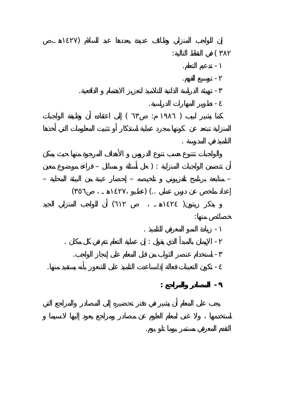

التقدم المعرفي مستمر يوما تلو يوم.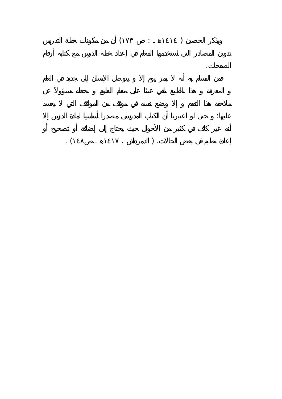## $($   $:$   $)$

الصفحات.

## $\mathcal{L}$  ( is understand in the set of  $\mathcal{L}$ ).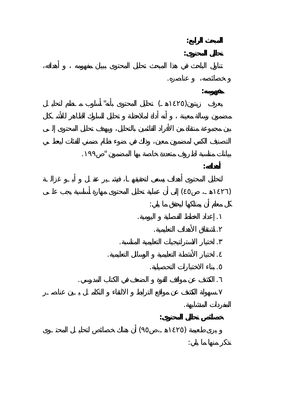**المبحث الرابع: تحليل المحتوى:**  خصائصه، عناصره. **مفهومه:**  $\qquad \qquad (\qquad )$ بيانات مناسبة لظروف متعددة خاصة بها المضمون " .١٩٩ **أهدافه:**  لتحليل المحتوى أهداف يسعى لتحقيقهـا، فيشـير عقـل أبـو غزالـة  $($ كل معلم أن يمتلكها ليحقق ما يلي: . إعداد الخطط الفصلية اليومية. . اشتقاق الأهداف التعليمية. . اختيار الاستراتيجيات التعليمية المناسبة.

. اختيار الأنشطة التعليمية الوسائل التعليمية. . بناء الاختبارات التحصيلية. . الكشف عن مواقف القوة الضعف في الكتاب المدرسي. . سهولة الكشف عن مواقع الترابط الالتقاء التكامـل بـين عناصـر المفردات المتشابهة. **خصائص تحليل المحتوى:**   $(1211)$  and  $(1211)$ 

نذكر منها ما يلي: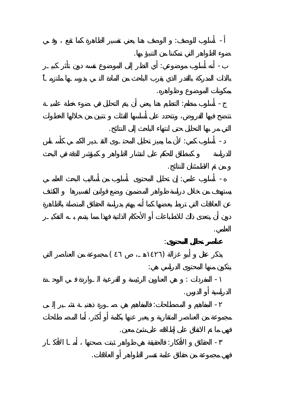- أسلوب للوصف: الوصف هنا يعني تفسير الظاهرة كما تقع وفـي ضوء الظواهر التي تمكننا من التنبؤ بها. - أنه أسلوب موضوعي: أي النظر إلى الموضوع نفسه دون تأثر كبيـر

بمكونات الموضوع ظواهره. - أسلوب منظم: التنظيم هنا يعني أن يتم التحليل في ضوء خطة علميـة التي مر بها التحليل حتى انتهاء الباحث إلى النتائج.

- أسلوب كمي: لأن ما يميز تحليل المحتـوى التقـدير الكمـي كأسـاس من ثم الاطمئنان للنتائج. - أسلوب علمي: إن تحليل المحتوى أسلوب من أساليب البحث العلمـي

العلمي. **عناصر تحليل لمحتوى**:  $(121)$  and  $(121)$  and  $(121)$ 

يتكون منها المحتوى الدراسي هي: - المفردات : هي العناوين الرئيسة الفرعية الـواردة فـي الوحـدة الدراسية أو الدرس. - المفاهيم المصطلحات: فالمفاهيم هي صـورة ذهنيـة تشـير إلـى

فهي ما تم الاتفاق على إطلاقه على شئ معين. - الحقائق الأفكار: فالحقيقة هي ظواهر ثبتت صحتها أمـا الأفكـار فهي مجموعة من حقائق عامة تفسر الظواهر أو العلاقات.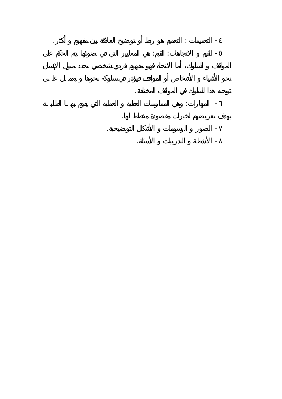التعميمات : التعميم هو ربط أو توضيح العلاقة بين مفهوم أكثر. - القيم الاتجاهات: القيم: هي المعايير التي في ضوئها يتم الحكم على -

توجيه هذا السلوك في المواقف المختلفة. نحو الأشياء الأشخاص أو المواقف فيؤثر في سلوكه نحوها يعمـل علـى المهارات: وهي الممارسات العقلية العملية التي يقوم بهـا الطلبـة - بهدف تعريضهم لخبرات مقصودة مخطط لها.

الصور الرسومات الأشكا التوضيحية. - الأنشطة التدريبات الأسئلة. -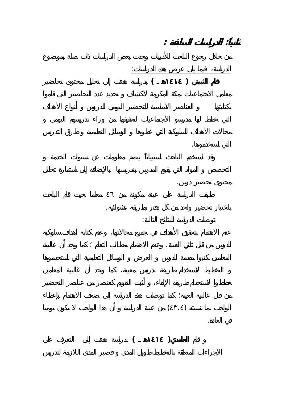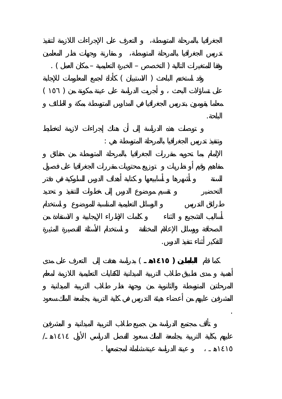

وتنفيذ تدريس الجغرافيا بالمرحلة المتوسطة هي :

للتفكير أثناء تنفيذ الدرس. كما قام **البابطين ( ١٤١٥هـ** ) بدراسة هدفت إلى التعرف على مدى

.

 $\frac{1}{2}$ 

الباحة.

١٤١٥هـ عينة الدراسة عينة شاملة لمجتمعها .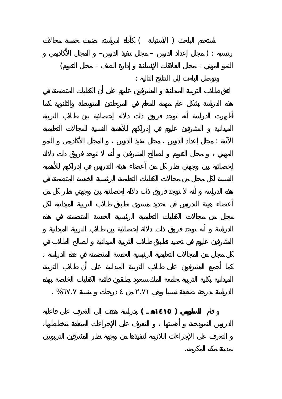

الآتية : مجال إعداد الدرس مجال تنفيذ الدرس المجال الأكاديمي النمو

الدراسة بدرجة ضعيفة نسبيا وهي .٧١ من درجات بنسبة %٦٧. .

قام **السلومي ( ١٤١٥هـ )** بدراسة هدفت إلى التعرف على فاعلية

بمدينة مكة المكرمة.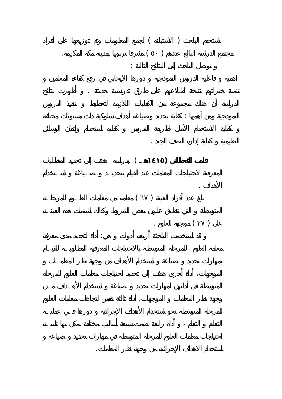$($ مجتمع الدراسة البالغ عددهم ( ٥٠ ) مشرفا تربويا بمدينة مكة المكرمة. توصل الباحث إلى النتائج التالية : النموذجية ومن أهمها : كفاية تحديد وصياغة أهداف سلوكية ذات مستويات مختلفة التعليمية كفاية إدارة الصف الجيد . **قامت القحطاني (١٤١٥هـ** ) بدراسة هدفت إلى تحديد لمتطلبات الأهداف .  $($ 

 $\mathbf{r}$  (  $\mathbf{r}$ ) and  $\mathbf{r}$ قد استخدمت الباحثة أربعة أدوات هي: أداة لتحديد مدى معرفة

استخدام الأهداف الإجرائية من وجهة نظر المعلمات.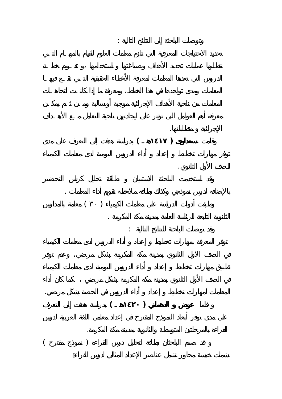وتوصلت الباحثة إلى النتائج التالية : الإجرائية متطلباتها. وقامت **سعداوي ( ١٤١٧هـ )** بدراسة هدفت إلى التعرف على مدى للصف الأول الثانوي. بالإضافة لدرس نموذجي وكذلك بطاقة ملاحظة تقويم أداء المعلمات . edecimies in the set of the set of the set of the set of the set of the set of the set of the set of the set of the set of the set of the set of the set of the set of the set of the set of the set of the set of the set of الثانوية التابعة للرئاسة العامة بمدينة مكة المكرمة . وقد توصلت الباحثة للنتائج التالية : المعلمات لمهارات تخطيط إعداد أداء الدروس في الحصة بشكل مرضي. قاما **عوض الدهماني ( ١٤٢٠هـ )** بدراسة هدفت إلى التعرف

القراءة بالمرحلتين المتوسطة والثانوية بمدينة مكة المكرمة.  $($  and  $)$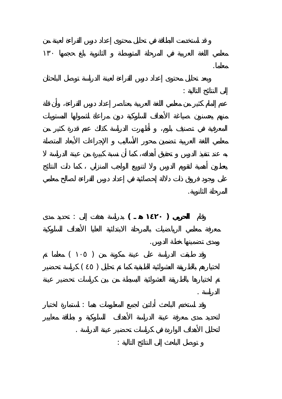إلى النتائج التالية : المرحلة الثانوية. وقام **الحربي ( ١٤٢٠ هـ )** بدراسة هدفت إلى : تحديد مدى

 $($  $\begin{pmatrix} 1 & 1 & 1 & 1 \end{pmatrix}$ 

وقد استخدم الباحث أداتين لجمع المعلومات هما : استمارة اختبار

لتحليل الأهداف الواردة في كراسات تحضير عينة الدراسة . توصل الباحث إلى النتائج التالية :

ومدى تضمينها خطة الدرس. الدراسة .

معلما.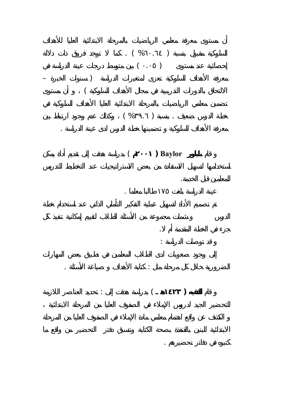

الضرورية خلال كل مرحلة ثل : كتابة الأهداف صياغة الأسئلة .

قام **الفقيه ( ١٤٢٣هـ** ) بدراسة هدفت إلى : تحديد العناصر اللازمة

كتبوه في دفاتر تحضيرهم .

قام **بايلور Baylor ) ٢٠٠١** ( بدراسة هدفت إلى تقديم أداة يمكن

عينة الدراسة بلغت ١٧٥ طالبا معلما .

للمعلمين قبل الخدمة.

جزء في الخطة المقدمة أم .

قد توصلت الدراسة :

معرفة الأهداف السلوكية تضمينها خطة الدرس لدى عينة الدراسة .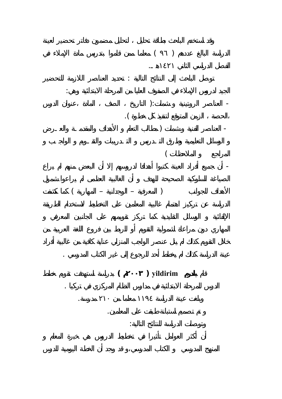

قام **يلدرم yildirim ) ٢٠٠٣ (** بدراسة استهدفت تقويم خطط

وتوصلت الدراسة للنتائج التالية:

عينة الدراسة كذلك لم يخطط أحد للرجوع إلى غير الكتاب المدرسي .

الدرس للمرحلة الابتدائية مدارس النظام المركزي في تركيا .

وبلغت عينة الدراسة ١١٩٤ معلما من ٢١٠ مدرسة.

تم تصميم استبانة طبقت على المعلمين.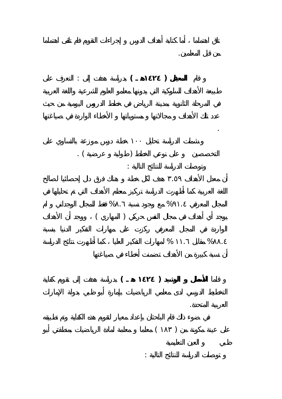قام **المعيقل ( ١٤٢٤هـ )** بدراسة هدفت إلى : التعرف على

من قبل المعلمين.

.

العربية المتحدة.

 $\begin{pmatrix} 1 & 1 & 1 \\ 1 & 1 & 1 \end{pmatrix}$ وتوصلت الدراسة للنتائج التالية : أن معدل الأهداف .٥٩ هدف لكل خطة هناك فرق دال إحصائيا لصالح

 $\%$  .  $\%$  .  $\begin{pmatrix} 96 \\ 1 \end{pmatrix}$ 

 $\%$  .  $\%$  .

قاما **الأسطل الرشيد ( ١٤٢٤ هـ )** بدراسة هدفت إلى تقويم كفاية

 $\mathbf{r}$ 

 $($  )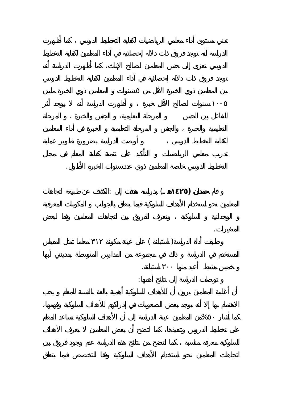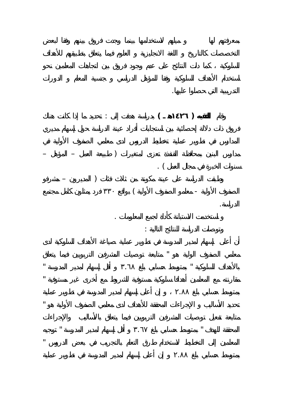التدريبي التي حصلوا عليها. وقام **الفقيه ( ١٤٢٦هـ )** بدراسة هدفت إلى : تحديد ما إذا كانت هناك مدارس البنين بمحافظة القنفذة تعزى لمتغيرات ( طبيعة العمل – المؤهل –  $\ddot{\phantom{1}}$ . ( وطبقت الدراسة على عينة مكونة من ثلاث فئات ( المديرون – مشرفو الصفوف الأولية - معلمو الصفوف الأولية ) بواقع ٣٣٠ فرد يمثلون كامل مجتمع الدراسة. استخدمت الاستبانة كأداة لجمع المعلومات . وتوصل الدراسة للنتائج الدراسة للنتائج الدراسة للنتائج الدراسة للنتائج التالية التالية التالية التالية التالية<br>وتوصل الدراسة للنتائج التالية :<br>وتوصل الدراسة للنتائج التالية : معلمي الصفوف الولية هو " متابعة توصيات المشرفين التربويين فيما يتعلق بالأهداف السلوكية " بمتوسط حسابي بلغ .٦٨ أقل إسهام لمدير المدرسة " مقارنته مع المعلمين أهدافا سلوكية مستوفية للشروط مع أخرى غير مستوفية " بمتوسط حسابي بلغ .٨٨ إن أعلى إسهام لمدير المدرسة في تطوير عملية تحديد الأساليب لإجراءات المحققة للأهداف لدى معلمي الصفوف الأولية هو "

المحققة للهدف " بمتوسط حسابي بلغ .٦٧ أقل إسهام لمدير المدرسة " توجيه المعلمين إلى التخطيط لاستخدام طرق التعلم بالتجريب في بعض الدروس "

بمتوسط حسابي بلغ .٨٨ إن أعلى إسهام لمدير المدرسة في تطوير عملية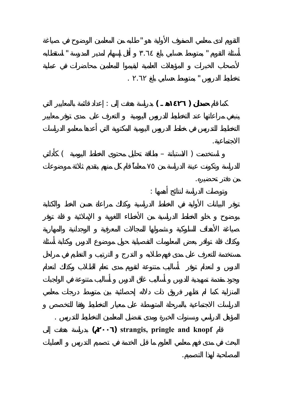

المؤهل الدراسي سنوات الخبرة ومدى تفضيل المعلمين التخطيط للتدريس .

التقويم لدى معلمي الصفوف الأولية هو " طلبه من المعلمين الوضوح في صياغة

أسئلة التقويم " بمتوسط حسابي بلغ .٦٤ أقل إسهام لمدير المدرسة " استقطابه

كما قام **حمدان ( ١٤٢٦هـ )** بدراسة هدفت إلى : إعداد قائمة بالمعايير التي

 $($   $)$ 

تخطيط الدروس " بمتوسط حسابي بلغ .٦٢ .

وتوصلت الدراسة لنتائج أهمها :

الاجتماعية.

من دفتر تحضيره.

المصاحبة لهذا التصميم.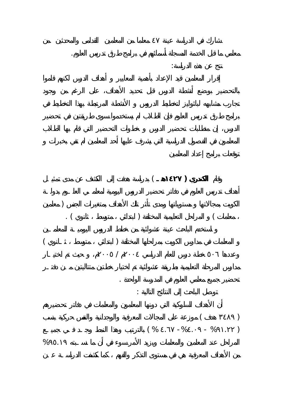

نتج عن هذه الدراسة:

معلمي ما قبل الخدمة المسجلة أسمائهم في برامج طرق تدريس العلوم.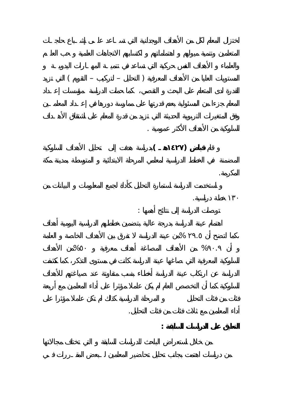



أداء المعلمين مع ثلاث فئات من فئات التحليل.

**التعليق على الدراسات السابقة :**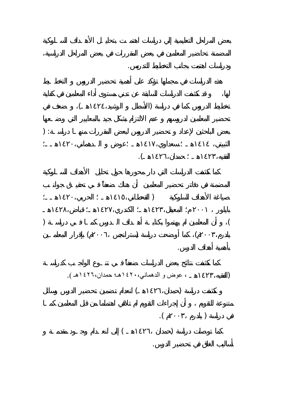$($  $\hspace{0.1in}$  ) :  $\blacksquare$  $)$ ) is the set of the set of the set of the set of the set of the set of the set of the set of the set of the set of the set of the set of the set of the set of the set of the set of the set of the set of the set of the set  $($ بأهمية أهداف الدرس. (الفقيه١٤٢٣،هـ ، عوض و الدهماني١٤٢٠،هـ؛ حمدان١٤٢٦،هـ ). كشفت دراسة (حمدان١٤٢٦،هـ) انعدام تضمين تحضير الدرس وسائل  $\mathcal{L}(\mathcal{L}(\mathcal{L}(\mathcal{L}(\mathcal{L}(\mathcal{L}(\mathcal{L}(\mathcal{L}(\mathcal{L}(\mathcal{L}(\mathcal{L}(\mathcal{L}(\mathcal{L}(\mathcal{L}(\mathcal{L}(\mathcal{L}(\mathcal{L}(\mathcal{L}(\mathcal{L}(\mathcal{L}(\mathcal{L}(\mathcal{L}(\mathcal{L}(\mathcal{L}(\mathcal{L}(\mathcal{L}(\mathcal{L}(\mathcal{L}(\mathcal{L}(\mathcal{L}(\mathcal{L}(\mathcal{L}(\mathcal{L}(\mathcal{L}(\mathcal{L}(\mathcal{L}(\mathcal{$  $($ أساليب الغلق في تحضير الدرس.

ودراسات اهتمت بجانب التخطيط للتدريس.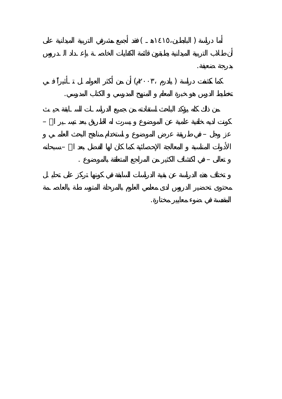أما دراسة ( البابطين١٤١٥،هـ ) فقد أجم مشرفي التربية الميدانية على درجة ضعيفة.  $($ تخطيط الدرس هو خبرة المعلم المنهج المدرسي الكتاب المدرسي. كونت لديه خلفية علمية عن الموضوع يسرت له الطريق بعد يسـير االله – عز وجل – في طريقة عرض الموضوع استخدام مناهج البحث العلمـي الأدوات المناسبة المعالجة الإحصائية كما كان لها الفضل بعد االله – سبحانه تعالى – في اكتشاف الكثير من المراجع المتعلقة بالموضوع .

المقدسة في ضوء معايير مختارة.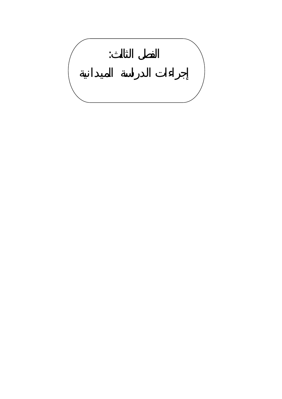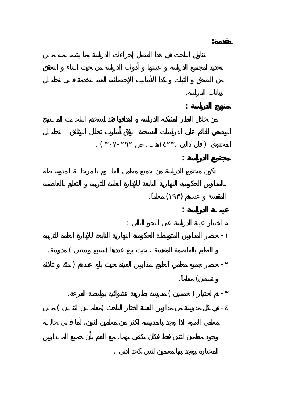بيانات الدراسة. **منهج الدراسة :**  الوصفي القائم على الدراسات المسحية وفق أسلوب تحليل الوثائق – تحليـل  $\begin{pmatrix} 1 & 1 & 1 \\ 1 & 1 & 1 \end{pmatrix}$ **مجتمع الدراسة :**  $\qquad \qquad ( )$ **عينـة الدراسة :**  تم اختيار عينة الدراسة على النحو التالي : - حصر المدارس المتوسطة الحكومية النهارية التابعة للإدارة العامة للتربية التعليم بالعاصمة المقدسة حيث بلغ عددها ( سبع ستين ) مدرسة.  $\big)$  -contracts on  $\big)$  -contracts on  $\big)$  -contracts  $-$ تسعين) معلماً. - تم اختيار ( خمسين ) مدرسة بطريقة عشوائية بواسطة القرعة.  $($   $)$ 

المختارة يوجد بها معلمين اثنين كحد أدنى .

**مقدمة:**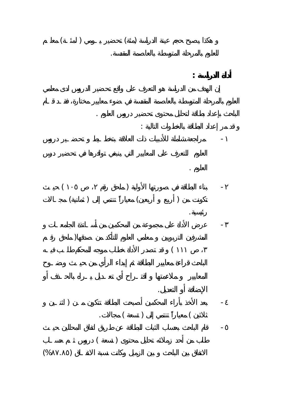











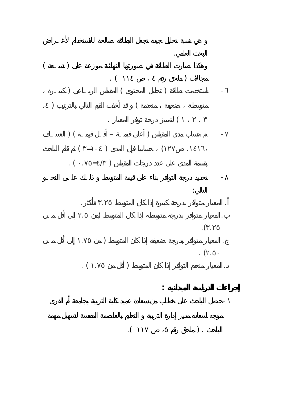البحث العلمي.  $($  $\mathcal{N}(\mathcal{N})$  ) - ستخدم بطاقة ( تحليل المحتوى ) المقياس الربـاعي ( كبيـرة  $\qquad \qquad \qquad \qquad \qquad$ ) لتمييز درجة توفر المعيار .  $\tag{1}$  $($   $=$   $)$   $($  $\bullet$  (  $\bullet$  = 1) - تحديد درجة التوافر بناء على قيمة المتوسط ذلـك علـى النحـو التالي: . المعيار متوافر بدرجة كبيرة إذا كان المتوسط .٢٥ فأكثر.  $\ldots$ ) .(  $\cdot$  $\hspace{0.5cm} . \hspace{0.5cm} . \hspace{0.5cm}$ . (  $% \alpha$  . . (  $\qquad \qquad$  ) **إجراءات الدراسة الميدانية :** 

موجه لسعادة مدير إدارة التربية التعليم بالعاصمة المقدسة لتسهيل مهمة- $\tag{1.1} \label{eq:1.1}$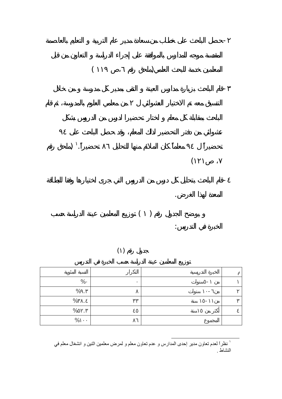

المقدسة موجه للمدارس بالموافقة على إجراء الدراسة التعاون من قبل-



| $\%$              |  |  |
|-------------------|--|--|
| $\%$<br>$\bullet$ |  |  |
| %<br>$\cdot$      |  |  |
| $\%$<br>$\cdot$   |  |  |
| $\%$              |  |  |

<sup>.&</sup>lt;br>نظراً لعدم تعاون مدير إحدى المدارس و عدم تعاون معلم و لمرض معلمين اثنين و انشغال معلم في ا النشاط .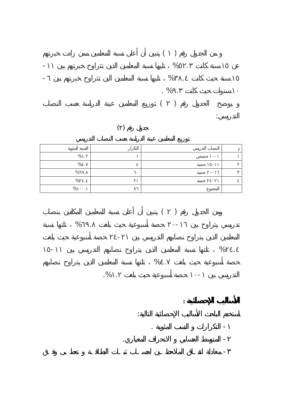



| %    |  |  |
|------|--|--|
| %    |  |  |
| %    |  |  |
| $\%$ |  |  |
| %    |  |  |





 $\%$  .

- معادلة اتفـاق الملاحظـين لحسـاب ثبـات البطاقـة تعطـى وفـق

التدريسي بين ١٠- حصة أسبوعية حيث بلغت . .%

**الأساليب الإحصائية :**

استخدم الباحث الأسالي الإحصائية التالية:

- المتوسط الحسابي الانحراف المعياري.

- التكرارات النسب المئوية .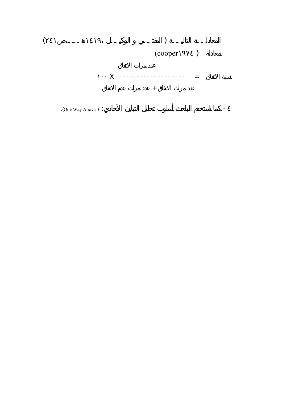

-  $\sim$  2000  $\sim$  2000  $\sim$  2000  $\sim$  2000  $\sim$  2000  $\sim$  2000  $\sim$  2000  $\sim$  2000  $\sim$  2000  $\sim$  2000  $\sim$  2000  $\sim$  2000  $\sim$  2000  $\sim$  2000  $\sim$  2000  $\sim$  2000  $\sim$  2000  $\sim$  2000  $\sim$  2000  $\sim$  2000  $\sim$  2000  $\sim$  2000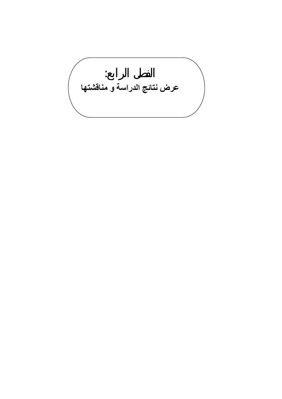الفصل الرابع: **عرض نتائج الدراسة و مناقشتها**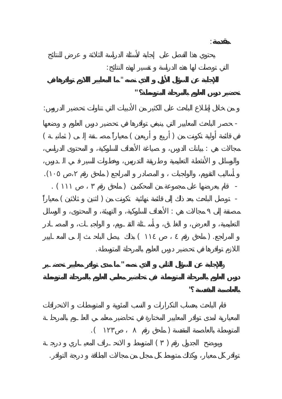**مقدمة**: التي توصلت لها هذه الدراسة تفسير لهذه النتائج:  **للإجابة عن السؤال الأول الذي نصه** " **ما المعايير اللازم توافرها في تحضير درس العلوم بالمرحلة المتوسطة؟ "**  من خلال إطلاع الباحث على الكثير من الأدبيات التي تناولت تحضير الدروس: - حصر الباحث المعايير التي ينبغي توافرها في تحضير درس العلوم وضعها  $($ مجالات هي : بيانات الدرس، صياغة الأهداف السلوكية، المحتوى الدراسي،  $\mathcal{N}(\mathcal{N})$ - قام بعرضها على مجموعة من المحكمين ( ملحق رقم ١١١ ) .  $\qquad \qquad \, (-$ مصنفة إلى مجالات هي : الأهداف السلوكية، التهيئة، المحتوى، الوسائل  $($ اللازم توافرها في تحضير درس العلوم بالمرحلة المتوسطة. **للإجابة عن السؤال الثاني الذي نصه " ما مدى توافر معايير تحضـير بالعاصمة المقدسة "**   $\mathcal{N}(\mathcal{N})$  $\begin{pmatrix} 0 & 1 \end{pmatrix}$ 

توافر كل معيار، وكذلك متوسط كل مجال من مجالات البطاقة درجة التوافر.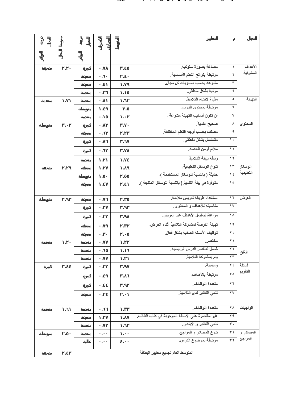|  | $\cdot$        | $\cdot$              | مصاغة بصورة سلوكية.                                 | ١                                                                       | الأهداف              |
|--|----------------|----------------------|-----------------------------------------------------|-------------------------------------------------------------------------|----------------------|
|  |                |                      | مرتبطة بنواتج التعلم الأساسية                       | ۲                                                                       | السلوكية             |
|  |                |                      | متنوعة بحسب مستويات كل مجال.                        | ۳                                                                       |                      |
|  | $\cdot$        | $\blacksquare$       | مرتبة بشكل منطقى                                    | $\pmb{\epsilon}$                                                        |                      |
|  | $\cdot$        | $\cdot$              | مثيرة لانتباه التلاميذ                              | ٥                                                                       | التهينة              |
|  | $\cdot$        | $\cdot$              | مرتبطة بمحتوى الدرس.                                | ٦                                                                       |                      |
|  | $\cdot$        | $\cdot$              | أن تكون أساليب التهيئة متنوعة .                     | $\blacktriangledown$                                                    |                      |
|  | $\cdot$        | $\cdot$              | صحيح علمياً.                                        | $\boldsymbol{\wedge}$                                                   | المحتوى              |
|  |                | $\cdot$              | مصنف بحسب أوجه التعلم المختلفة.                     | ٩                                                                       |                      |
|  | $\cdot$        | $\cdot$              | متسلسل بشكل منطقى.                                  | $\Lambda$                                                               |                      |
|  | $\cdot$        |                      | ملائم لزمن الحصة.                                   | $\overline{\mathbf{y}}$                                                 |                      |
|  | $\cdot$        | $\cdot$              | ربطه ببينة التلاميذ                                 | $\sqrt{7}$                                                              |                      |
|  | $\cdot$        | $\cdot$              | تنوع الوسائل التعليمية.                             | $\gamma$                                                                | الوسائل              |
|  | $\cdot$        | $\cdot$              | حديثة ( بالنسبة للوسائل المستخدمة ).                | $\sqrt{6}$                                                              | التعليمية            |
|  | $\blacksquare$ |                      | متوفرة في بينة التلميذ.( بالنسبة للوسائل المنتجة ). | $\lambda$                                                               |                      |
|  |                |                      |                                                     |                                                                         |                      |
|  | $\cdot$        |                      | استخدام طريقة تدريس ملائمة.                         | $\begin{array}{c} \overline{1} \\ \overline{1} \end{array}$<br>$\gamma$ | العرض                |
|  | $\cdot$        |                      | مناسبته للأهداف و المحتوى.                          |                                                                         |                      |
|  | $\cdot$        |                      | مراعاة تسلسل الأهداف عند العرض.                     | $\Lambda$                                                               |                      |
|  | $\cdot$        | $\cdot$              | تهينة الفرصة لمشاركة التلاميذ أثناء العرض.          | $\lambda$                                                               |                      |
|  | $\cdot$        | $\cdot$              | توظيف الأسئلة الصفية بشكل فعال.                     | $\overline{\mathbf{y}}$                                                 |                      |
|  | $\cdot$        | $\cdot$              | مختصر.                                              | $\overline{\Upsilon}$                                                   |                      |
|  | $\cdot$        | $\ddot{\phantom{0}}$ | شامل لعناصر الدرس الرئيسية.                         | $\overline{\mathbf{y}}$                                                 | الغلق                |
|  | $\bullet$      | $\cdot$              | يتم بمشاركة التلاميذ.                               | $\overline{\Uparrow}$                                                   |                      |
|  | $\cdot$        | $\ddot{\phantom{0}}$ | واضحة.                                              | $\forall$ {                                                             | أسئلة<br>التقويم     |
|  | $\bullet$      |                      | مرتبطة بالأهداف.                                    | 70                                                                      |                      |
|  | $\cdot$        | $\ddot{\phantom{0}}$ | متعددة الوظائف.                                     | $\overline{\mathbf{r}}$                                                 |                      |
|  | $\cdot$        |                      | تنمي التفكير لدى التلاميذ.                          | $\overline{\Upsilon}$                                                   |                      |
|  |                |                      |                                                     |                                                                         |                      |
|  | $\cdot$        | $\cdot$              | متعددة الوظائف.                                     | $\overline{\Uparrow}$                                                   | الواجبات             |
|  | $\cdot$        |                      | غير مفتصرة على الأسنلة الموجودة في كتاب الطالب.     | 44                                                                      |                      |
|  | $\cdot$        | $\cdot$              | تنمي التفكير و الابتكار                             | $\ddot{\tau}$                                                           |                      |
|  | $\cdot$        | $\cdot$              | تنوع المصادر و المراجع.                             | $\frac{1}{2}$                                                           | المصادر و<br>المراجع |
|  | $\cdot$        |                      | مرتبطة بموضوع الدرس.                                | $\overline{\tau}$                                                       |                      |
|  |                |                      | المتوسط العام لجميع معايير البطاقة                  |                                                                         |                      |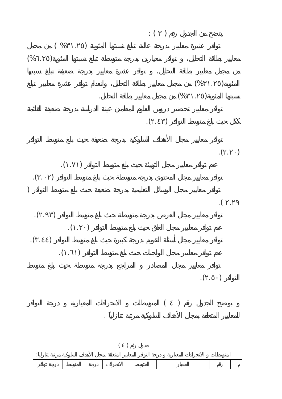$$
(96...)
$$
\n
$$
(96...)
$$
\n
$$
(96...)
$$
\n
$$
(96...)
$$
\n
$$
(96...)
$$
\n
$$
(6...)
$$
\n
$$
(6...)
$$
\n
$$
(6...)
$$
\n
$$
(6...)
$$
\n
$$
(6...)
$$
\n
$$
(6...)
$$
\n
$$
(6...)
$$
\n
$$
(6...)
$$
\n
$$
(6...)
$$
\n
$$
(6...)
$$
\n
$$
(6...)
$$
\n
$$
(6...)
$$
\n
$$
(6...)
$$
\n
$$
(6...)
$$
\n
$$
(6...)
$$
\n
$$
(6...)
$$
\n
$$
(6...)
$$
\n
$$
(6...)
$$
\n
$$
(6...)
$$
\n
$$
(6...)
$$
\n
$$
(6...)
$$
\n
$$
(6...)
$$
\n
$$
(6...)
$$
\n
$$
(6...)
$$
\n
$$
(6...)
$$
\n
$$
(6...)
$$
\n
$$
(6...)
$$
\n
$$
(6...)
$$
\n
$$
(6...)
$$
\n
$$
(6...)
$$
\n
$$
(6...)
$$
\n
$$
(6...)
$$
\n
$$
(6...)
$$
\n
$$
(6...)
$$
\n
$$
(6...)
$$
\n
$$
(6...)
$$
\n
$$
(6...)
$$
\n
$$
(6...)
$$
\n
$$
(6...)
$$
\n
$$
(6...)
$$
\n
$$
(6...)
$$
\n
$$
(6...)
$$
\n
$$
(6...)
$$
\n
$$
(6...)
$$
\n
$$
(6...)
$$
\n
$$
(6...)
$$
\n
$$
(6...)
$$
\n
$$
(6...)
$$
\n
$$
(6...)
$$
\n
$$
(6...)
$$
\n
$$
(6...)
$$
\n
$$
(6...)
$$
\n
$$
(6...)
$$
\n
$$
(6...)
$$
\n
$$
(6...)
$$
\n
$$
(6...)
$$
\n
$$
(6...)
$$
\n
$$
(6...)
$$
\n<math display="</math>

 $($   $)$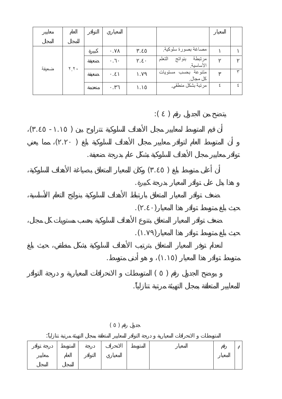| ضعيفة |      | ٠ | مصاغة بصورة سلوكية                               |  |
|-------|------|---|--------------------------------------------------|--|
|       | Y, Y |   | مرتبطة بنواتج<br>الأساسية <sub>.</sub><br>التعلم |  |
|       |      |   | متنوعة بحسب مستويات<br>كل مجال.                  |  |
|       |      |   | مرتبة بشكل منطقي.                                |  |

 $\colon ( \quad )$ 

توافر معايير مجال الأهداف السلوكية بشكل عام بدرجة ضعيفة.

 $($   $($   $)$  $\left( \begin{array}{c} 1 \end{array} \right)$ 



$$
\begin{array}{cc} . & & ( & . & ) \\ & & ( & . & ) \\ & & ( & ) & \\ & & \ddots & & \end{array}
$$

 $($ 

متوسط توافر هذا المعيار (.١٥ ) هو أدنى متوسط.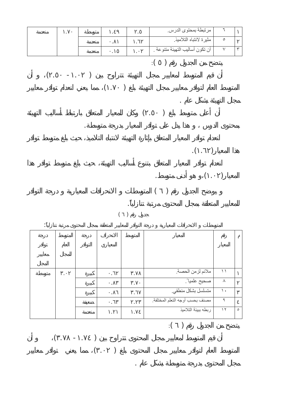$($   $($   $)$   $($   $)$   $($   $)$   $($   $)$   $($   $)$   $($   $)$   $($   $)$   $($   $)$   $($   $)$   $($   $)$   $($   $)$   $($   $)$   $($   $)$   $($   $)$   $($   $)$   $($   $)$   $($   $)$   $($   $)$   $($   $)$   $($   $)$   $($   $)$   $($   $)$   $($   $)$   $($   $)$   $($   $)$   $($   $)$   $($ .  $)$ 

 $\mathbf{r}$  ( ):

مجال المحتوى بدرجة متوسطة بشكل عام .

|  | $\bullet$ | $\cdot$   | ملائم لزمن الحصة.              | ۱۱        |         |
|--|-----------|-----------|--------------------------------|-----------|---------|
|  | ٠         | $\cdot$   | صحيح علميا ً.                  | $\lambda$ |         |
|  | $\bullet$ | $\bullet$ | متسلسل بشكل منطقي.             | ١.        |         |
|  | $\bullet$ | $\bullet$ | مصنف بحسب أوجه التعلم المختلفة | ٩         |         |
|  |           |           | ربطه ببيئة التلاميذ            | $\gamma$  | $\circ$ |
|  |           |           |                                |           |         |

 $($ 

 $\ddotsc$  $( )$ للمعايير المتعلقة بمجال المحتوى مرتبة تنازلياً.

مجال التهيئة بشكل عام .

 $\cdot$  (  $\cdot$  ).

 $( \cdot )$ 

 $($  . )

 $( \cdot \cdot \cdot \cdot \cdot )$ 

بمحتوى الدرس هذا يدل على توافر المعيار بدرجة متوسطة.

٦ مرتبطة بمحتوى الدرس. . .٤٩ توسطة .٧٠ نعدمة ٥ مثيرة لانتباه التلاميذ. .٦٢ .٨١ نعدمة ٣ ٧ أن تكون أساليب التهيئة متنوعة . .٠٢ .١٥ نعدمة  $\mathbf{r}$  ( ):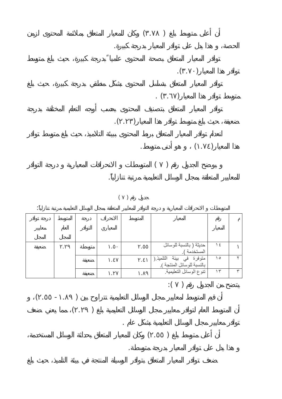

$$
(\quad \, )
$$

|  |  |  | حديثة ( بالنسبة للوسائل<br>المستخدمة )               | $\frac{1}{2}$ |   |
|--|--|--|------------------------------------------------------|---------------|---|
|  |  |  | متوفرة في بيئة التلميذ.(<br>بالنسبةللوسائل المنتجة). | ه ۱           |   |
|  |  |  | تنوع الوسائل التعليمية                               | ۱۳            | ₩ |

 $\overline{\hspace{1cm}}$  :  $\overline{\hspace{1cm}}$  )

توافر معايير مجال الوسائل التعليمية بشكل عام .

هذا يدل على توافر المعيار بدرجة متوسطة.

$$
\begin{pmatrix} 1 & -1 & 1 \\ 0 & 0 & 0 \\ 0 & 0 & 0 \end{pmatrix}
$$

 $\left( \begin{array}{c} 1 \\ 0 \end{array} \right)$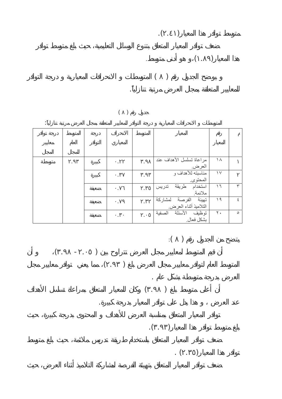

$$
\begin{array}{c} \begin{array}{c} \begin{array}{c} \begin{array}{c} \begin{array}{c} \end{array} \\ \begin{array}{c} \end{array} \\ \begin{array}{c} \end{array} \end{array} \end{array}
$$

 $(\ )$ 

|  |           | مراعاة تسلسل الأهداف عند                      | ۱۸             |         |
|--|-----------|-----------------------------------------------|----------------|---------|
|  | $\cdot$   | العرض.                                        |                |         |
|  | $\bullet$ | مناسبته للأهداف و<br>المحتوى                  | $\vee$         |         |
|  | $\cdot$   | استخدام طريقة<br>تدريس<br>ملائمة              | ۱٦ $\,$        | ٣       |
|  | $\bullet$ | تهيئة الفرصة لمشاركة<br>التلاميذ أثناء العرض. | 19             | ٤       |
|  | $\bullet$ | توظيف الأسئلة<br>الصفية                       | $\mathbf{Y}$ . | $\circ$ |
|  |           | بشكل فعال                                     |                |         |

 $\mathbf{r}$  ( ):

 $($   $($   $)$  $($ .  $)$ 

عند العرض هذا يدل على توافر المعيار بدرجة كبيرة.

 $\begin{pmatrix} 1 & 1 & 1 \end{pmatrix}$ 

 $\mathcal{N}(\mathcal{A})$ 

 $\ddots$   $($   $)$ 

العرض بدرجة متوسطة بشكل عام .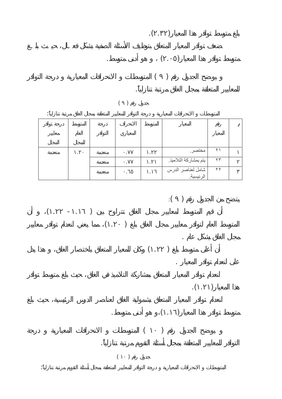

$$
(\quad \, )
$$

| ٠ |  |   |  |                                                                  |           |
|---|--|---|--|------------------------------------------------------------------|-----------|
|   |  |   |  |                                                                  |           |
|   |  |   |  |                                                                  |           |
|   |  |   |  |                                                                  |           |
|   |  |   |  |                                                                  |           |
|   |  |   |  | ۲۳                                                               |           |
|   |  | ٠ |  | ۲۲                                                               |           |
|   |  |   |  | مختصر ِ<br>يتم بمشاركة التلاميذ<br>شامل لعناصر الدرس<br>الرئيسية | $\lambda$ |

$$
(\begin{array}{cccc} \cdot & \cdot & \cdot & \cdot \\ \cdot & \cdot & \cdot & \cdot \end{array})
$$

$$
(\quad,\quad)
$$

$$
.(\hspace{0.05cm}\ldots\hspace{0.05cm})
$$

$$
\mathcal{L}(\mathcal{L}(\mathcal{L})) = \mathcal{L}(\mathcal{L}(\mathcal{L}))
$$

على انعدام توافر المعيار .

$$
(\hspace{7mm})
$$

$$
(\hspace{7mm})
$$

المتوسطات الانحرافات المعيارية درجة التوافر للمعايير المتعلقة بمجال أسئلة التقويم مرتبة تنازلياً:

التوافر للمعايير المتعلقة بمجال أسئلة التقويم مرتبة تنازلياً.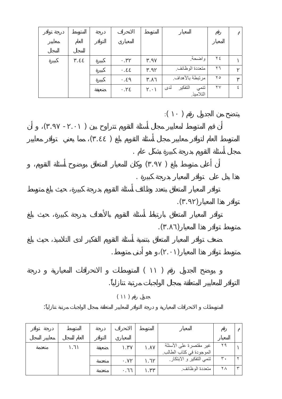|  | ٠ | ٠ | واضحة                                | $Y \n\leq$             |  |
|--|---|---|--------------------------------------|------------------------|--|
|  | ٠ | ٠ | متعددة الوظائف                       | $\mathbf{y}$           |  |
|  | ٠ | ٠ | مرتبطة بالأهداف                      | $\mathbf{y}$           |  |
|  | ٠ |   | تنمي التفكير لد <i>ى</i><br>التلاميذ | $\mathsf{Y}\mathsf{V}$ |  |



 $($ 

المعيار المتوس الانحراف ٢٩ غير مقتصرة على الأسئلة .٨٧ .٣٧ عيفة .٦١ نعدمةالموجودة في كتاب الطالب. ٢ ٣٠ تنمي التفكير و الابتكار. .٦٢ .٧٢ نعدمة ٣ ٢٨ متعددة الوظائف. .٣٣ .٦٦ نعدمة

المتوسطات الانحرافات المعيارية درجة التوافر للمعايير المتعلقة بمجال الواجبات مرتبة تنازلياً: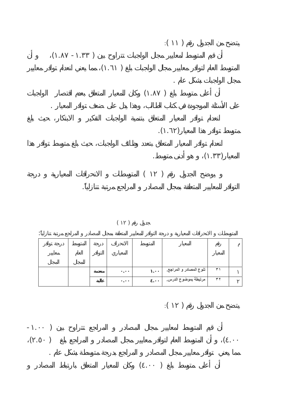

 $($ 

التوافر للمعايير المتعلقة بمجال المصادر المراجع مرتبة تنازلياً.

|  |  | ٠ | تنوع المصادر و المراجع. | ۳١     |  |
|--|--|---|-------------------------|--------|--|
|  |  | ٠ | مرتبطة بموضوع الدرس.    | $\tau$ |  |

 $\mathbf{r}:\mathbf{r} \longrightarrow \mathbf{r}$ 

 $\begin{pmatrix} - & 1 & 0 \\ 0 & 0 & 0 \\ 0 & 0 & 0 \end{pmatrix}$  $\left( \begin{array}{ccc} \cdot & \cdot & \cdot \end{array} \right)$ مما يعني توافر معايير مجال المصادر المراجع بدرجة متوسطة بشكل عام .  $( \ \, . \quad )$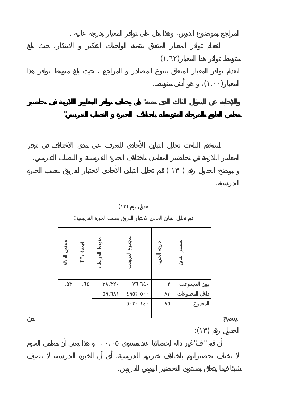

**معلمي العلوم بالمرحلة المتوسطة باختلاف الخبرة النصاب التدريسي"** 





 $\mathbf{r} = \mathbf{r} \cdot \mathbf{r}$ 

المعايير اللازمة في تحاضير المعلمين باختلاف الخبرة التدريسية النصاب التدريسي.

المراجع بموضوع الدرس، وهذا يدل على توافر المعيار بدرجة عالية .

|   | $\bar{\mathbb{F}}$ |           |           |  |
|---|--------------------|-----------|-----------|--|
|   |                    |           |           |  |
| ٠ | $\cdot$            | $\bullet$ | $\bullet$ |  |
|   |                    | $\bullet$ | $\bullet$ |  |
|   |                    |           | ٠         |  |
|   |                    |           |           |  |

أن قيم " "غير داله إحصائيا عند مستوى .٠٥ هذا يعني أن معلمي العلوم

شيئا فيما يتعلق بمستوى التحضير اليومي للدروس.

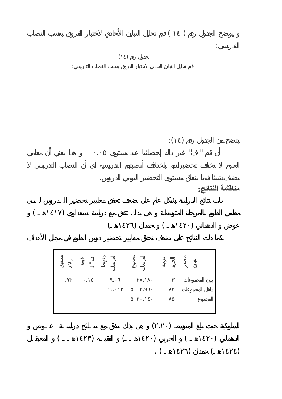

 $\mathbf{r}$ 

أن قيم " في المستوى ... وقيم " مستوى ... وقيم " مستوى ... وقيم المستوى ... وقيم المستوى ... وقيم المستوى ... و<br>وقيم المستوى ... وقيم المستوى ... وقيم المستوى ... وقيم المستوى ... وقيم المستوى ... وقيم المستوى ... وقيم الم

**مناقشة النتائج:** 



يضيف شيئا فيما يتعلق بمستوى التحضير اليومي للدروس.

|   | Ē |  |  |
|---|---|--|--|
| ٠ |   |  |  |
|   |   |  |  |
|   |   |  |  |
|   |   |  |  |

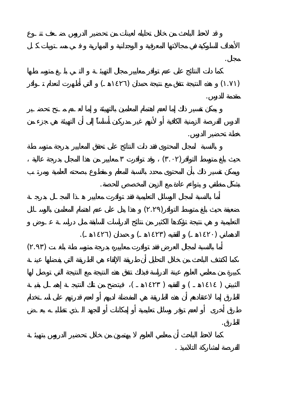$(1)$  ) and the set of the set of the set of the set of the set of the set of the set of the set of the set of the set of the set of the set of the set of the set of the set of the set of the set of the set of the set of مقدمة للدرس. خطة تحضير الدرس.  $($ .  $)$ بشكل منطقي يتواءم عادة مع الزمن المخصص للحصة.  $(1, 1)$  and  $(1, 1)$ الدهماني (١٤٢٠هـ) الفقيه (١٤٢٣هـ) حمدان (١٤٢٦هـ).  $\left( \begin{array}{c} 0 & \cdots \end{array} \right)$ 

مجال.

الطرق.

 $($  (  $)$   $($   $)$ 

الفرص لمشاركة التلاميذ .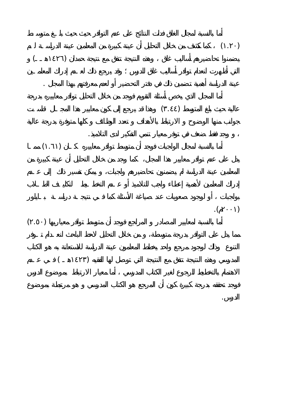$($  .  $)$  $($ يضمنوا تحاضيرهم أساليب غلق وهذه النتيجة تتفق مع نتيجة حمدان ( عينة الدراسة أهمية تضمين ذلك في دفتر التحضير أو لعدم معرفتهم بهذا المجال .  $($  .  $)$ 

 وجد فقط ضعف في توفر معيار تنمي التفكير لدى التلاميذ.  $($ .  $)$ 

 $\cdot$  (  $\cdot$  )  $($ .  $)$ 

 $($ المدرسي وهذه النتيجة تتفق مع النتيجة التي توصل لها الفقيه (

الدرس. فوجد تحققه بدرجة كبيرة كون أن المرجع هو الكتاب المدرسي هو مرتبطة بموضوع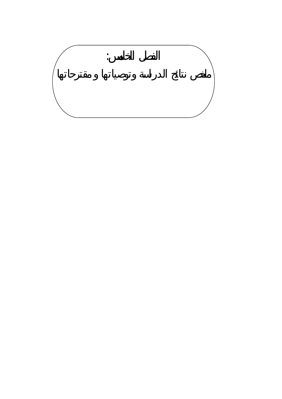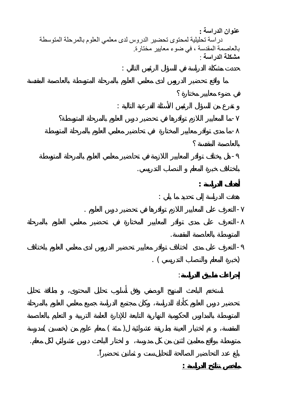**عنوان الدراسة :** دراسة تحليلية لمحتوى تحضير الدروس لدى معلمي العلوم بالمرحلة المتوسطة بالعاصمة المقدسة ، في ضوء معايير مختارة. **مشكلة الدراسة** :

-ما مدى توافر معايير المختارة في تحاضير معلمي العلوم بالمرحلة المتوسطة-

-هل يختلف توافر المعايير اللازمة في تحاضير معلمي العلوم بالمرحلة المتوسطة

-التعرف على مدى توافر المعايير المختارة في تحضير معلمي العلوم بالمرحلة-

-التعرف على مدى اختلاف توافر معايير تحضير الدروس لدى معلمي العلوم باختلاف

متوسطة بواقع معلمين اثنين من كل مدرسة، اختار الباحث درس عشوائي لكل معلم.

التعرف على المعايير اللازم توافرها في تحضير درس العلوم .

 $($   $($   $)$   $($   $)$ 

بلغ عدد التحاضير الصالحة للتحليل ست ثمانين تحضيراً.

باختلاف خبرة المعلم النصاب التدريسي.

هدفت الدراسة إلى تحديد ما يلي :

**أهداف الدراسة :**

 $\qquad \qquad .$ 

**ملخص نتائج الدراسة :** 

المتوسطة بالعاصمة المقدسة.

**إجراءات تطبيق الدراسة**:

حددت مشكلة الدراسة في السؤال الرئيس التالي :

تفرع من السؤال الرئيس الأسئلة الفرعية التالية :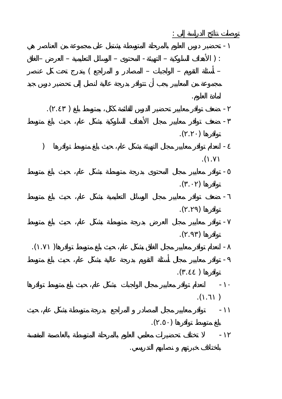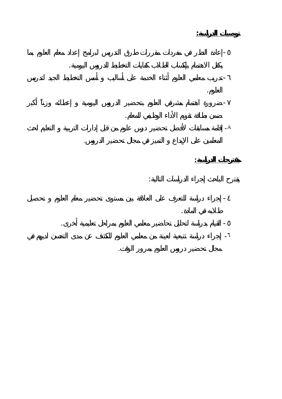**توصيات الدراسة:**  $\sim$  -  $\sim$ يكفل الاهتمام بإكساب الطلاب كفايات التخطيط للدروس اليومية. - العلوم.

- ضمن بطاقة تقويم الأداء الوظيفي للمعلم. - ٨

 المعلمين على الإبداع التميز في مجال تحضير الدروس. **مقترحات الدراسة:** يقترح الباحث إجراء الدراسات التالية:

 $\sim$  -  $\sim$  -  $\sim$ طلابه في المادة. القيام بدراسة لتحليل تحاضير معلمي العلوم بمراحل تعليمية أخرى. - - ٦

مجال تحضير دروس العلوم بمرور الوقت.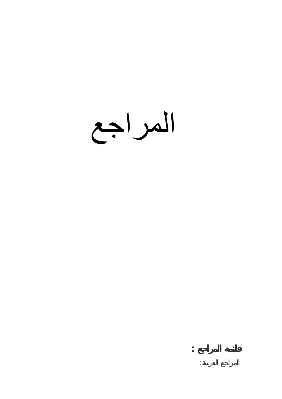المراجع

**قائمة المراجع :**

المراجع العربية: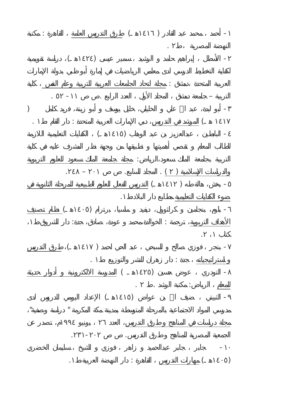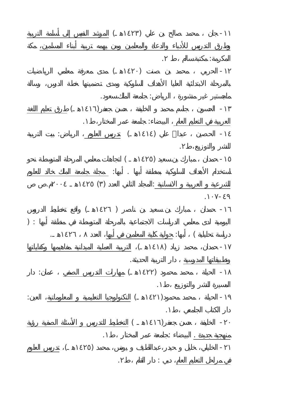|                                                                                     |                                                                                                                                                                                                                                                                                                                                                                                                                                                                                                                  |                | $\big)$  | $\mathbf{r} = \mathbf{r} \times \mathbf{r}$ , where $\mathbf{r} = \mathbf{r}$ |           | $\frac{1}{2}$ |
|-------------------------------------------------------------------------------------|------------------------------------------------------------------------------------------------------------------------------------------------------------------------------------------------------------------------------------------------------------------------------------------------------------------------------------------------------------------------------------------------------------------------------------------------------------------------------------------------------------------|----------------|----------|-------------------------------------------------------------------------------|-----------|---------------|
| $\mathcal{L}^{\text{max}}_{\text{max}}$ and $\mathcal{L}^{\text{max}}_{\text{max}}$ | and the company                                                                                                                                                                                                                                                                                                                                                                                                                                                                                                  |                |          | $\sim 10^{11}$<br>$\frac{1}{2}$ .                                             |           |               |
|                                                                                     | $\label{eq:3} \begin{split} \mathbb{E} \left[ \begin{array}{cc} \mathbb{E} \left[ \begin{array}{cc} \mathbb{E} \left[ \begin{array}{cc} \mathbb{E} \left[ \begin{array}{cc} \mathbb{E} \left[ \begin{array}{cc} \mathbb{E} \left[ \begin{array}{cc} \mathbb{E} \left[ \begin{array}{cc} \mathbb{E} \left[ \begin{array}{cc} \mathbb{E} \left[ \begin{array}{cc} \mathbb{E} \left[ \begin{array}{cc} \mathbb{E} \left[ \begin{array}{cc} \mathbb{E} \left[ \begin{array}{cc} \mathbb{E} \left[ \begin{array}{cc}$ |                | $\left($ |                                                                               |           |               |
|                                                                                     |                                                                                                                                                                                                                                                                                                                                                                                                                                                                                                                  |                |          |                                                                               | $\bullet$ |               |
| $\sim$                                                                              | $\left($                                                                                                                                                                                                                                                                                                                                                                                                                                                                                                         | $\ddot{\cdot}$ |          |                                                                               |           |               |
|                                                                                     |                                                                                                                                                                                                                                                                                                                                                                                                                                                                                                                  |                |          |                                                                               |           | ×.            |
|                                                                                     |                                                                                                                                                                                                                                                                                                                                                                                                                                                                                                                  |                |          |                                                                               |           |               |
|                                                                                     |                                                                                                                                                                                                                                                                                                                                                                                                                                                                                                                  |                |          |                                                                               |           |               |
|                                                                                     |                                                                                                                                                                                                                                                                                                                                                                                                                                                                                                                  |                |          |                                                                               |           |               |
|                                                                                     |                                                                                                                                                                                                                                                                                                                                                                                                                                                                                                                  |                |          |                                                                               |           |               |
|                                                                                     |                                                                                                                                                                                                                                                                                                                                                                                                                                                                                                                  |                |          |                                                                               |           |               |
|                                                                                     | $\bullet$                                                                                                                                                                                                                                                                                                                                                                                                                                                                                                        |                |          |                                                                               |           |               |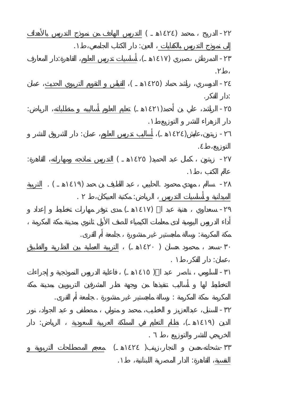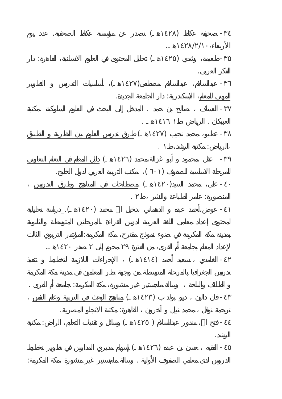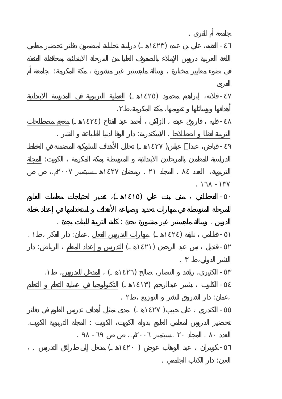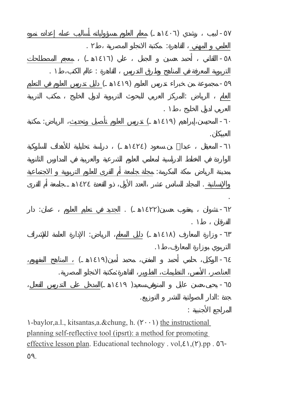

-baylor, a.l., kitsantas, a. & chung, h. ( $\qquad$ ) the instructional planning self-reflective tool (ipsrt): a method for promoting effective lesson plan. Educational technology . vol, ().pp.

٥٩.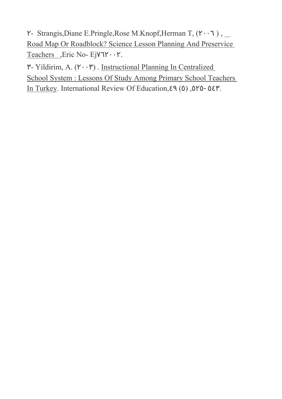- Strangis, Diane E.Pringle, Rose M.Knopf, Herman T, ( $\qquad$ ), \_ Road Map Or Roadblock? Science Lesson Planning And Preservice Teachers \_, Eric No- Ej

- Yildirim, A. ( $\qquad$ ). Instructional Planning In Centralized School System : Lessons Of Study Among Primary School Teachers In Turkey. International Review Of Education, (), - .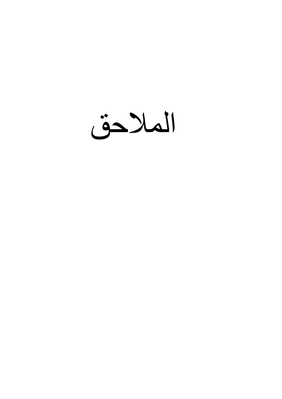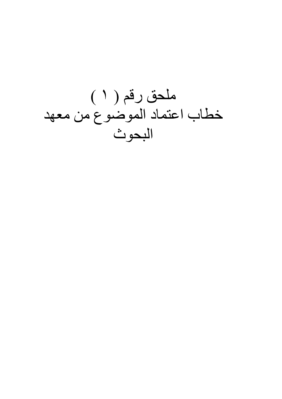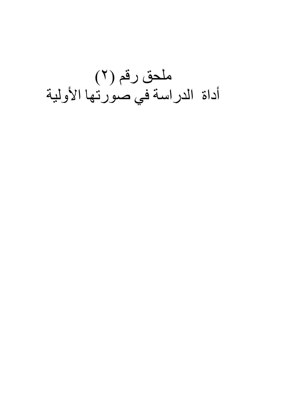## ملحق رقم (٢) أداة الدراسة في صورتها الأولية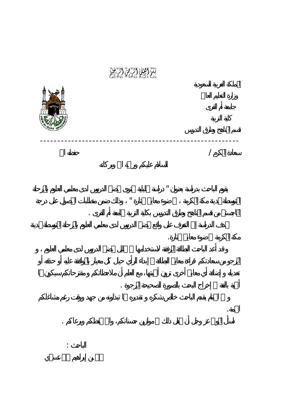بسماعها اللهام الأسهام الأسهام<br>بسماعها الله المحمد المحمد المحمد المحمد المحمد المحمد المحمد المحمد المحمد المحمد المحمد المحمد المحمد المحمد<br>المحمد المحمد المحمد المحمد المحمد المحمد المحمد المحمد المحمد المحمد المحمد ال

---------------------------------------------------------

 $\mathbf{u}$ 

لمتوسطة بمدينة مكة المكرمة ضوء معايير مختارة " وذلك ضمن متطلبات الحصول على درجة

اسأل المولى عز وجل أن يجعل ذلك موازين حسناتكم، واالله يحفظكم ويرعاكم .

 $\overline{a}$ 

الماجستير من قسم المناهج وطرق التدريس بكلية التربية بجامعة أم القرى .

أهمية بالغة إخراج البحث بالصورة الصحيحة المرجوة .

مكة لمكرمة ضوء معايير مختارة.

الجمة.



الباحث :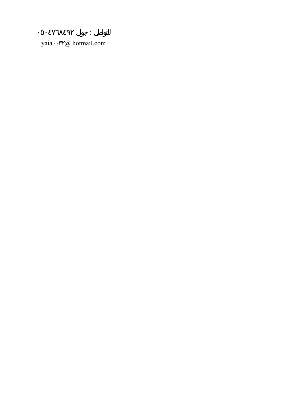yaia @ hotmail.com

 $\ddot{\cdot}$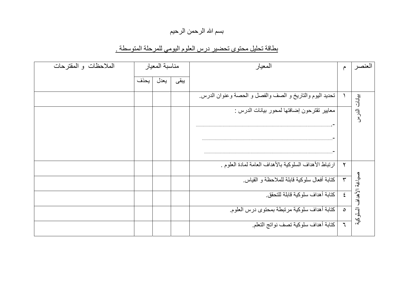#### بسم الله الرحمن الرحيم

### بطاقة تحليل محتوى تحضير درس العلوم اليومي للمرحلة المتوسطة .

| الملاحظات والمقترحات |      | مناسبة المعيار |      | المعيار                                                 | $\hat{\tau}$  | بعنصد                       |
|----------------------|------|----------------|------|---------------------------------------------------------|---------------|-----------------------------|
|                      | بحذف | يعدل           | يبقى |                                                         |               |                             |
|                      |      |                |      | تحديد اليوم والتاريخ و الصف والفصل و الحصة وعنوان الدرس |               |                             |
|                      |      |                |      | معايير تقترحون إضافتها لمحور بيانات الدرس :             |               | بنواتات ال <sup>ح</sup> ر س |
|                      |      |                |      |                                                         |               |                             |
|                      |      |                |      |                                                         |               |                             |
|                      |      |                |      | ارتباط الأهداف السلوكية بالأهداف العامة لمادة العلوم .  | $\mathsf{r}$  |                             |
|                      |      |                |      | كتابة أفعال سلوكية قابلة للملاحظة و القياس              | $\mathbf{r}$  |                             |
|                      |      |                |      | كتابة أهداف سلوكية قابلة للتحقق                         | $\epsilon$    | صياغة الأهداف السلوكية      |
|                      |      |                |      | كتابة أهداف سلوكية مرتبطة بمحتوى درس العلوم             | $\circ$       |                             |
|                      |      |                |      | كتابة أهداف سلوكية تصف نواتج التعلم.                    | $\mathcal{L}$ |                             |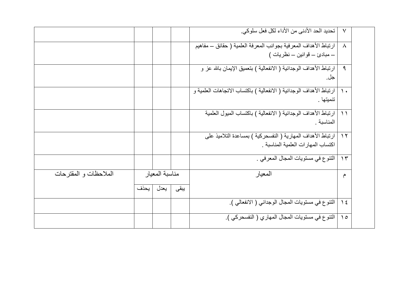|                        |      |                |      | تحديد الحد الأدني من الأداء لكل فعل سلوكي.                          | $\vee$        |  |
|------------------------|------|----------------|------|---------------------------------------------------------------------|---------------|--|
|                        |      |                |      | ارتباط الأهداف المعرفية بجوانب المعرفة العلمية ( حقائق ــ مفاهيم    | $\lambda$     |  |
|                        |      |                |      |                                                                     |               |  |
|                        |      |                |      | ارتباط الأهداف الوجدانية ( الانفعالية ) بتعميق الإيمان بالله عز و   | $\mathcal{A}$ |  |
|                        |      |                |      | جل.                                                                 |               |  |
|                        |      |                |      | ارتباط الأهداف الوجدانية ( الانفعالية ) باكتساب الاتجاهات العلمية و | $\lambda$     |  |
|                        |      |                |      | تنميتها .                                                           |               |  |
|                        |      |                |      | ارتباط الأهداف الوجدانية ( الانفعالية ) باكتساب الميول العلمية      | $\bigwedge$   |  |
|                        |      |                |      | المناسبة .                                                          |               |  |
|                        |      |                |      | ارتباط الأهداف المهارية ( النفسحركية ) بمساعدة التلاميذ على         | $\gamma$      |  |
|                        |      |                |      | اكتساب المهارات العلمية المناسبة                                    |               |  |
|                        |      |                |      | الننوع في مستويات المجال المعرفي .                                  | $\gamma \tau$ |  |
| الملاحظات و المقتر حات |      | مناسبة المعبار |      | المعيار                                                             | م             |  |
|                        | يحذف | يعدل           | يبقى |                                                                     |               |  |
|                        |      |                |      | التنوع في مستويات المجال الوجداني ( الانفعالي ).                    | $\frac{1}{2}$ |  |
|                        |      |                |      | التنوع في مستويات المجال المهاري ( النفسحركي ).                     | $\Omega$      |  |
|                        |      |                |      |                                                                     |               |  |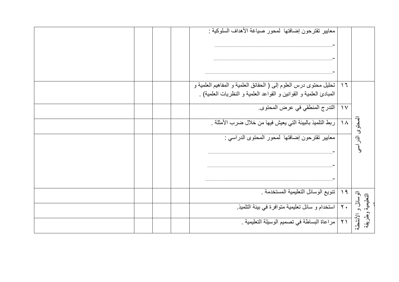|  | معابير نقترحون إضافتها كمحور صياغة الأهداف السلوكية :                                                                                   |                |                                        |
|--|-----------------------------------------------------------------------------------------------------------------------------------------|----------------|----------------------------------------|
|  | تحليل محتوى درس العلوم إلى ( الحقائق العلمية و المفاهيم العلمية و<br>المبادئ العلمية و القوانين و القواعد العلمية و النظريات العلمية) . | $\overline{1}$ |                                        |
|  | الندرج المنطقي في عرض المحتوى.                                                                                                          | $\gamma$       |                                        |
|  | ربط التلميذ بالبيئة التي يعيش فيها من خلال ضرب الأمثلة .                                                                                | $\lambda$      |                                        |
|  | معايير نقترحون إضافتها لمحور المحتوى الدراسي :                                                                                          |                | المحتوى الذراسي                        |
|  |                                                                                                                                         |                |                                        |
|  | تنويع الوسائل التعليمية المستخدمة .                                                                                                     | 19             |                                        |
|  | استخدام و سائل تعليمية متوافرة في بيئة التلميذ.                                                                                         | $Y$ .          | الويسائل و الأنشطة<br>التعليمية وطريقة |
|  | مراعاة البساطة في تصميم الوسيلة التعليمية .                                                                                             | $\gamma$ )     |                                        |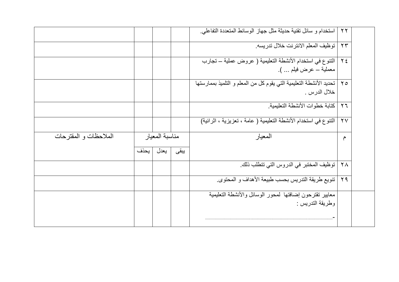|                       |      |                |      | استخدام و سائل تقنية حديثة مثل جهاز الوسائط المتعددة التفاعلي.          | $\gamma \gamma$    |  |
|-----------------------|------|----------------|------|-------------------------------------------------------------------------|--------------------|--|
|                       |      |                |      | توظيف المعلم الانترنت خلال تدريسه                                       | $\gamma \gamma$    |  |
|                       |      |                |      | النّنوع في استخدام الأنشطة التعليمية ( عروض عملية ـ تجارب               | $Y \xi$            |  |
|                       |      |                |      | معملية – عرض فيلم … ).                                                  |                    |  |
|                       |      |                |      | ٢٥   تحديد الأنشطة التعليمية التي يقوم كل من المعلم و التلميذ بممارستها |                    |  |
|                       |      |                |      | خلال الدرس .                                                            |                    |  |
|                       |      |                |      | كتابة خطو ات الأنشطة التعليمية.                                         | $\gamma$ $\tau$    |  |
|                       |      |                |      | التنوع في استخدام الأنشطة التعليمية ( عامة ، تعزيزية ، اثرائية)         | $\gamma$           |  |
| الملاحظات و المقترحات |      | مناسبة المعيار |      | المعيار                                                                 | م                  |  |
|                       | بحذف | يعدل           | يبقى |                                                                         |                    |  |
|                       |      |                |      | توظيف المختبر في الدروس التي تتطلب ذلك.                                 | $\mathsf{Y}\wedge$ |  |
|                       |      |                |      | تنويع طريقة التدريس بحسب طبيعة الأهداف و المحتوى.                       | Y9                 |  |
|                       |      |                |      | معابير نقترحون إضافتها لمحور الوسائل والأنشطة التعليمية                 |                    |  |
|                       |      |                |      | وطريقة التدريس :                                                        |                    |  |
|                       |      |                |      |                                                                         |                    |  |
|                       |      |                |      |                                                                         |                    |  |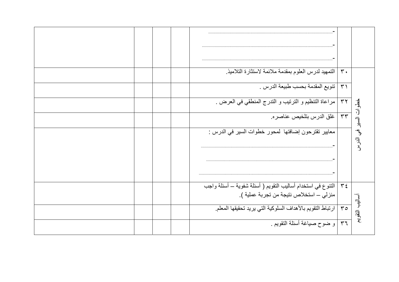|  | التمهيد لدرس العلوم بمقدمة ملائمة لاستثارة التلاميذ                                                      | $\mathbf{r}$ .        |                       |
|--|----------------------------------------------------------------------------------------------------------|-----------------------|-----------------------|
|  | ننويع المقدمة بحسب طبيعة الدرس .                                                                         | $\uparrow$            |                       |
|  | مراعاة التنظيم و الترتيب و التدرج المنطقي في العرض .                                                     | $\tau\tau$            |                       |
|  | غلق الدرس بتلخيص عناصر ه.                                                                                | $\overline{\tau\tau}$ |                       |
|  | معايير تقترحون إضافتها لمحور خطوات السير في الدرس :                                                      |                       | فطوات السبر في الدرسر |
|  | النّنوع في استخدام أساليب النّقويم ( أسئلة شفوية – أسئلة واجب<br>منزلي – استخلاص نتيجة من تجربة عملية ). | $\tau$ {              |                       |
|  | ارتباط النقويم بالأهداف السلوكية التي يريد تحقيقها المعلم                                                | $r \circ$             | أساليب التقويع        |
|  | و ضوح صياغة أسئلة النقويم .                                                                              | 57                    |                       |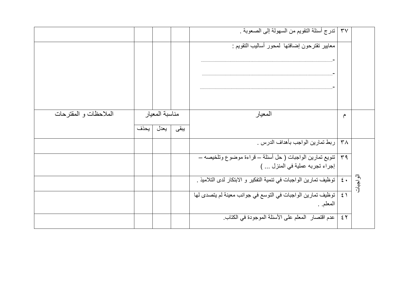|                       |      |                |  | ندرج أسئلة النقويم من السهولة إلى الصعوبة .                      | $\mathsf{r}\mathsf{v}$    |           |
|-----------------------|------|----------------|--|------------------------------------------------------------------|---------------------------|-----------|
|                       |      |                |  | معايير نقترحون إضافتها كمحور أساليب النقويم :                    |                           |           |
|                       |      |                |  |                                                                  |                           |           |
|                       |      |                |  |                                                                  |                           |           |
|                       |      |                |  |                                                                  |                           |           |
|                       |      |                |  |                                                                  |                           |           |
| الملاحظات و المقترحات |      | مناسبة المعيار |  | المعيار                                                          | م                         |           |
|                       | بحذف | يبقى<br>يعدل   |  |                                                                  |                           |           |
|                       |      |                |  |                                                                  |                           |           |
|                       |      |                |  | ربط تمارين الواجب بأهداف الدرس .                                 | $\mathsf{r}_\mathsf{A}$   |           |
|                       |      |                |  | تنويع تمارين الواجبات ( حل أسئلة ــ قراءة موضوع وتلخيصه ــ       | $\mathsf{r}\, \mathsf{q}$ |           |
|                       |      |                |  | إجراء تجربه عملية في المنزل  )                                   |                           |           |
|                       |      |                |  | توظيف تمارين الواجبات في تنمية التفكير و الابتكار لدى التلاميذ . | $\epsilon$ .              | الو اجنات |
|                       |      |                |  | توظيف تمارين الواجبات في التوسع في جوانب معينة لم يتصدى لها      | $\epsilon$ )              |           |
|                       |      |                |  | المعلم. .                                                        |                           |           |
|                       |      |                |  | عدم اقتصار المعلم على الأسئلة الموجودة في الكتاب.                | $\epsilon$ $\tau$         |           |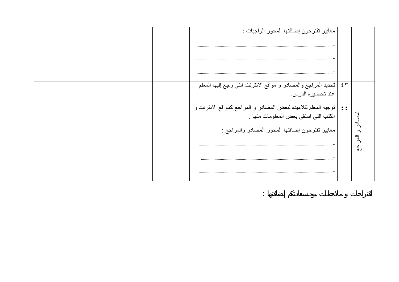| تحديد المراجع والمصادر و مواقع الانترنت التي رجع إليها المعلم<br>$\epsilon$ $\tau$<br>عند تحضير ه الدرس<br>  توجيه المعلم لتلاميذه لبعض المصادر و المراجع كمواقع الانترنت و<br>$\epsilon$ $\epsilon$<br>الكتب التي استقى بعض المعلومات منها .<br>ス<br>معايير تقترحون إضافتها كمحور المصادر والمراجع :<br>و العر<br>$\overline{\bm{v}}$ |  |  | معايير تقترحون إضافتها كمحور الواجبات : |  |
|----------------------------------------------------------------------------------------------------------------------------------------------------------------------------------------------------------------------------------------------------------------------------------------------------------------------------------------|--|--|-----------------------------------------|--|
|                                                                                                                                                                                                                                                                                                                                        |  |  |                                         |  |
|                                                                                                                                                                                                                                                                                                                                        |  |  |                                         |  |
|                                                                                                                                                                                                                                                                                                                                        |  |  |                                         |  |

 $\mathcal{L}^{\mathcal{L}}(\mathcal{L}^{\mathcal{L}}(\mathcal{L}^{\mathcal{L}}(\mathcal{L}^{\mathcal{L}}(\mathcal{L}^{\mathcal{L}}(\mathcal{L}^{\mathcal{L}}(\mathcal{L}^{\mathcal{L}}(\mathcal{L}^{\mathcal{L}}(\mathcal{L}^{\mathcal{L}}(\mathcal{L}^{\mathcal{L}}(\mathcal{L}^{\mathcal{L}}(\mathcal{L}^{\mathcal{L}}(\mathcal{L}^{\mathcal{L}}(\mathcal{L}^{\mathcal{L}}(\mathcal{L}^{\mathcal{L}}(\mathcal{L}^{\mathcal{L}}(\mathcal{L}^{\mathcal{L$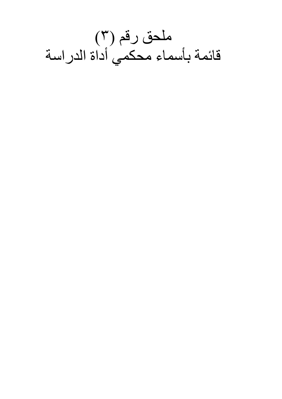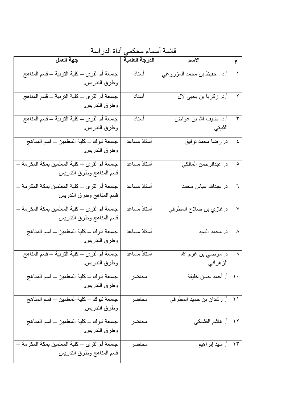| جهة العمل                                       | الدرجة العلمية | الأسم                       | $\hat{\tau}$ |
|-------------------------------------------------|----------------|-----------------------------|--------------|
| جامعة أم القرى ــ كلية التربية ــ قسم المناهج   | أستاذ          | أ د . حفيظ بن محمد المزروعي |              |
| وطرق التدريس                                    |                |                             |              |
| جامعة أم القرى ـــ كلية التربية ـــ قسم المناهج | أستاذ          | أ.د. زكريا بن يحيى لال      |              |
| وطرق التدريس                                    |                |                             |              |
| جامعة أم القرى ـــ كلية التربية ـــ قسم المناهج | أستاذ          | أ د ضيف الله بن عواض        | ٣            |
| وطرق التدريس                                    |                | الثبيتي                     |              |
| جامعة تبوك ــ كلية المعلمين ــ قسم المناهج      | أستاذ مساعد    | د رضا محمد توفيق            | ٤            |
| وطرق التدريس                                    |                |                             |              |
| جامعة أم القرى ــ كلية المعلمين بمكة المكرمة ــ | أستاذ مساعد    | د. عبدالرحمن المالكي        | ٥            |
| قسم المناهج وطرق التدريس                        |                |                             |              |
| جامعة أم القرى ــ كلية المعلمين بمكة المكرمة ــ | أستاذ مساعد    | د. عبدالله عباس محمد        | ٦            |
| قسم المناهج وطرق التدريس                        |                |                             |              |
| جامعة أم القرى ــ كلية المعلمين بمكة المكرمة ــ | أستاذ مساعد    | د غاز ي بن صلاح المطر في    | $\checkmark$ |
| قسم المناهج وطرق التدريس                        |                |                             |              |
| جامعة تبوك ــ كلية المعلمين ــ قسم المناهج      | أستاذ مساعد    | د. محمد السيد               | ٨            |
| وطرق التدريس                                    |                |                             |              |
| جامعة أم القرى ــ كلية التربية ــ قسم المناهج   | أستاذ مساعد    | د. مرضـي بن غرم الله        | ٩            |
| وطرق الندريس                                    |                | الز هر اني                  |              |
| جامعة نبوك ــ كلية المعلمين ــ قسم المناهج      | محاضر          | أ. أحمد حسن خليفة           | $\lambda$    |
| وطرق التدريس                                    |                |                             |              |
| جامعة نبوك ــ كلية المعلمين ــ قسم المناهج      | محاضر          | أ. رشدان بن حميد المطرفي    | $\setminus$  |
| وطرق التدريس                                    |                |                             |              |
| جامعة نبوك ــ كلية المعلمين ــ قسم المناهج      | محاضر          | أ ِ هاشم الفشتكي            | $\gamma$     |
| وطرق التدريس                                    |                |                             |              |
| جامعة أم القرى ــ كلية المعلمين بمكة المكرمة ــ | محاضر          | اً. سید إبراهیم             | $\gamma$     |
| قسم المناهج وطرق التدريس                        |                |                             |              |

قائمة أسماء محكمي أداة الدراسة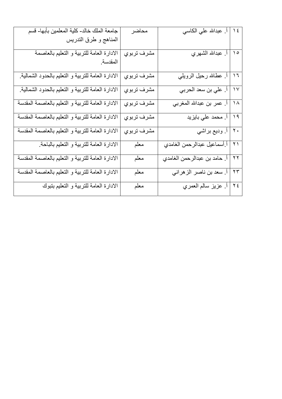| جامعة الملك خالد- كلية المعلمين بأبها- قسم         | محاضر              | أ. عبدالله علي الكاسي                    | $\sqrt{2}$            |
|----------------------------------------------------|--------------------|------------------------------------------|-----------------------|
| المناهج و طرق التدريس                              |                    |                                          |                       |
| الادارة العامة للتربية و التعليم بالعاصمة          | مشرف تربوي         | أ <sub>.</sub> عبدالله الشهري            | $\Delta$              |
| المقدسة                                            |                    |                                          |                       |
| الادارة العامة للتربية و التعليم بالحدود الشمالية. | مشرف تربو <i>ي</i> | أ <sub>.</sub> عطالله رحيل الرويلي       | $\overline{1}$        |
| الادارة العامة للتربية و التعليم بالحدود الشمالية. | مشرف تربوي         | أ. علي بن سعد الحربي                     | $\gamma$              |
| الادارة العامة للتربية و التعليم بالعاصمة المقدسة  | مشرف تربو <i>ي</i> | أ. عمر بن عبدالله المغربي                | $\overline{\Lambda}$  |
| الادارة العامة للتربية و التعليم بالعاصمة المقدسة  | مشرف تربو <i>ي</i> | اً. محمد علي بايزيد                      | $\sqrt{9}$            |
| الادارة العامة للتربية و التعليم بالعاصمة المقدسة  | مشرف تربوي         | أ وديع براشي                             | $\ddot{\cdot}$        |
| الادارة العامة للتربية و التعليم بالباحة.          | معلم               | أ أسماعيل عبدالرحمن الغامدي              | $\gamma$              |
| الادارة العامة للتربية و التعليم بالعاصمة المقدسة  | معلم               | <mark>. حامد بن عبدالرحمن الغامدي</mark> | $\overline{\Upsilon}$ |
| الادارة العامة للتربية و التعليم بالعاصمة المقدسة  | معلم               | أ. سعد بن ناصر الزهراني                  | $\overline{\Upsilon}$ |
| الادارة العامة للتربية و التعليم بتبوك             | معلم               | أ <sub>.</sub> عزيز سالم العمري          | $\overline{\gamma}$   |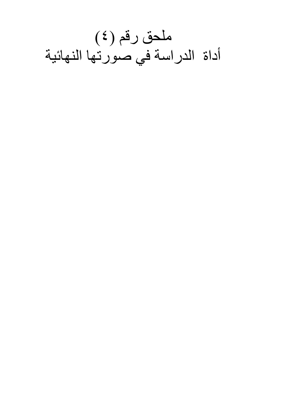ملحق رقم (٤) أداة الدراسة في صورتها النهائية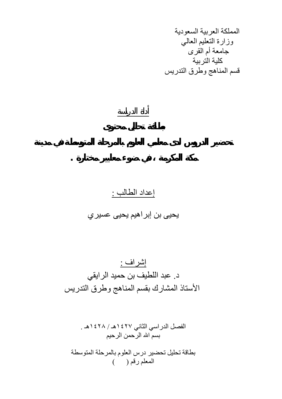المملكة العربية السعودية وزارة التعليم العالي جامعة أم القرى آلية التربية قسم المناهج وطرق التدريس

### إعداد الطالب : يحيى بن إبراهيم يحيى عسيري

أداة الدراسة

**مكة المكرمة في ضوء معايير مختارة .**

إشراف : د. عبد اللطيف بن حميد الرايقي الأستاذ المشارك بقسم المناهج وطرق التدريس

الفصل الدراسي الثاني ١٤٢٧هـ / ١٤٢٨هـ . بسم االله الرحمن الرحيم

بطاقة تحليل تحضير درس العلوم بالمرحلة المتوسطة المعلم رقم ( )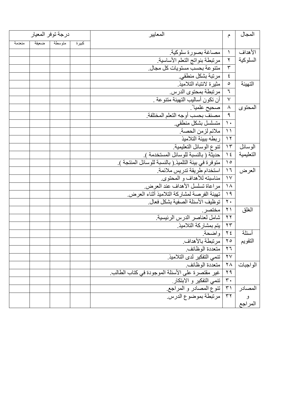|        |       | درجة توفر المعيار |       | المعايير                                            | م                       | المجال                  |
|--------|-------|-------------------|-------|-----------------------------------------------------|-------------------------|-------------------------|
| منعدمة | ضعيفة | متوسطة            | كبيرة |                                                     |                         |                         |
|        |       |                   |       | مصاغة بصورة سلوكية                                  | $\Delta$                | الأهداف                 |
|        |       |                   |       | مرتبطة بنواتج التعلم الأساسية                       | $\overline{\mathbf{r}}$ | السلوكية                |
|        |       |                   |       | متنوعة بحسب مستويات كل مجال.                        | $\mathbf{\tilde{r}}$    |                         |
|        |       |                   |       | مرتبة بشكل منطقي.                                   | ٤                       |                         |
|        |       |                   |       | مثيرة لانتباه التلاميذ                              | $\circ$                 | التهيئة                 |
|        |       |                   |       | مرتبطة بمحتوى الدرس.                                | ٦                       |                         |
|        |       |                   |       | أن تكون أساليب التهيئة متنوعة .                     | $\checkmark$            |                         |
|        |       |                   |       | صحيح علميا ً.                                       | $\boldsymbol{\wedge}$   | المحتوى                 |
|        |       |                   |       | مصنف بحسب أوجه التعلم المختلفة                      | $\mathcal{P}$           |                         |
|        |       |                   |       | متسلسل بشكل منطقى.                                  | $\vert \cdot \rangle$   |                         |
|        |       |                   |       | ملائم لزمن الحصة.                                   | $\bigwedge$             |                         |
|        |       |                   |       | ١٢   ربطه ببيئة التلاميذ                            |                         |                         |
|        |       |                   |       | تنوع الوسائل التعليمية                              | $\gamma$                | الموسائل                |
|        |       |                   |       | ١٤   حديثة ( بالنسبة للوسائل المستخدمة ).           |                         | التعليمية               |
|        |       |                   |       | متوفرة في بيئة التلميذ ( بالنسبة للوسائل المنتجة ). | $\bigwedge$             |                         |
|        |       |                   |       | ١٦   استخدام طريقة تدريس ملائمة.                    |                         | العرض                   |
|        |       |                   |       | ١٧   مناسبته للأهداف و المحتوى.                     |                         |                         |
|        |       |                   |       | مراعاة تسلسل الأهداف عند العرض.                     | $\lambda$               |                         |
|        |       |                   |       | تهيئة الفرصة لمشاركة التلاميذ أثناء العرض.          | $\eta$                  |                         |
|        |       |                   |       | توظيف الأسئلة الصفية بشكل فعال ـ                    | $\mathbf{Y}$ .          |                         |
|        |       |                   |       | مختصر ۱                                             | $\lambda$               | الغلق                   |
|        |       |                   |       | ٢٢   شامل لعناصر الدرس الرئيسية.                    |                         |                         |
|        |       |                   |       | ٢٣   يتم بمشاركة التلاميذ.                          |                         |                         |
|        |       |                   |       | ٢٤   واضحة.                                         |                         | أسئلة                   |
|        |       |                   |       | ٢٥   مرتبطة بالأهداف ِ                              |                         | التقويم                 |
|        |       |                   |       | ٢٦   متعددة الوظائف.                                |                         |                         |
|        |       |                   |       | ٢٧   تنمي التفكير لدى التلاميذ.                     |                         |                         |
|        |       |                   |       | ٢٨   متعددة الوظائف.                                |                         | الواجبات                |
|        |       |                   |       | غير مقتصرة على الأسئلة الموجودة في كتاب الطالب.     | $Y$ ۹                   |                         |
|        |       |                   |       | تنمي التفكير و الابتكار ِ                           | $\mathbf r$ .           |                         |
|        |       |                   |       | <u>۳۱   تنوع المصادر</u> و المراجع <sub>.</sub>     |                         | المصادر<br>و<br>المراجع |
|        |       |                   |       | ٣٢   مرتبطة بموضوع الدرس                            |                         |                         |
|        |       |                   |       |                                                     |                         |                         |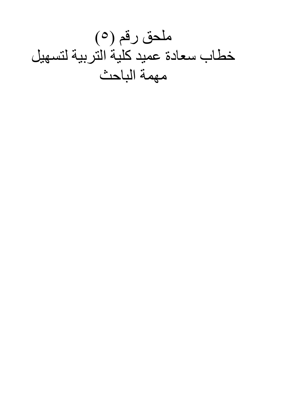ملحق رقم (٥) خطاب سعادة عميد كلية التربية لتسهيل مهمة الباحث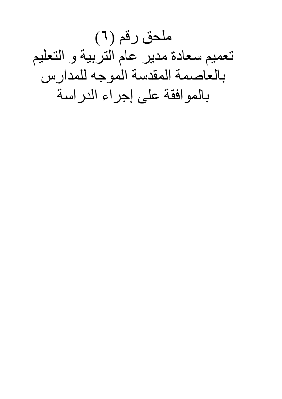ملحق رقم (٦) تعميم سعادة مدير عام التربية و التعليم بالعاصمة المقدسة الموجه للمدارس بالموافقة على إجراء الدراسة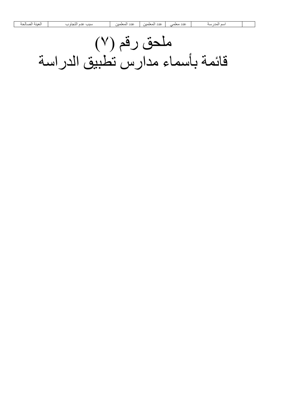# ملحق رقم (٧) قائمة بأسماء مدارس تطبيق الدراسة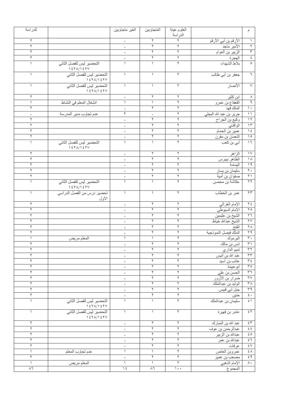| للدراسة          |                                                                                                                                                                                                                                                                                                                                                 | الغير متجاوبين           | المتجاوبين          | العلوم عينة                           |                         | م                                             |
|------------------|-------------------------------------------------------------------------------------------------------------------------------------------------------------------------------------------------------------------------------------------------------------------------------------------------------------------------------------------------|--------------------------|---------------------|---------------------------------------|-------------------------|-----------------------------------------------|
|                  |                                                                                                                                                                                                                                                                                                                                                 |                          |                     | الدراسة                               |                         |                                               |
| ٢                |                                                                                                                                                                                                                                                                                                                                                 | $\overline{\phantom{a}}$ | ٢                   | ٢                                     | الأرقم بن أبي الأرقم    | $\lambda$                                     |
| ٢                |                                                                                                                                                                                                                                                                                                                                                 | $\overline{\phantom{a}}$ | $\breve{}\,$        | ٢                                     | الأمير ماجد             | ٢                                             |
| ٢                |                                                                                                                                                                                                                                                                                                                                                 |                          | $\mathbf Y$         | ٢                                     | الزبير بن العوام        | $\mathbf{\breve{y}}$                          |
| ٢                |                                                                                                                                                                                                                                                                                                                                                 |                          | ٢                   | ٢                                     | الهجرة                  | $\acute{\text{z}}$                            |
| 1                | التحضير ليس للفصل الثاني<br>1571/157V                                                                                                                                                                                                                                                                                                           |                          | $\lambda$           | ٢                                     | بلاط الشهداء            | $\circ$                                       |
| $\lambda$        | التحضير ليس للفصل الثاني<br>1571/157V                                                                                                                                                                                                                                                                                                           | $\lambda$                | $\lambda$           | ٢                                     | جعفر بن أبي طالب        | $\overline{\mathcal{L}}$                      |
|                  | التحضير ليس للفصل الثاني<br>1571/157V                                                                                                                                                                                                                                                                                                           | 1                        |                     | ۲                                     | الأنصار                 | $\vee$                                        |
| ٢                |                                                                                                                                                                                                                                                                                                                                                 |                          | ٢                   | ٢                                     | ابن کثیر                | $\boldsymbol{\wedge}$                         |
|                  | انشغال المعلم في النشاط                                                                                                                                                                                                                                                                                                                         | $\left\{ \right.$        | $\lambda$           | ٢                                     | القعقاع بن عمرو         | ٩                                             |
| ٢                |                                                                                                                                                                                                                                                                                                                                                 |                          | ٢                   | ٢                                     | الملك فهد               | $\overline{\phantom{a}}$                      |
|                  | عدم تجاوب مدير المدرسة                                                                                                                                                                                                                                                                                                                          | ٢                        | $\qquad \qquad -$   | ٢                                     | جرير بن عبد الله البجلي | $\overline{\phantom{a}}$                      |
| ٢                |                                                                                                                                                                                                                                                                                                                                                 |                          | ٢                   | ٢                                     | وكيع بن الجراح          | $\overline{\prime}$                           |
| ٢                |                                                                                                                                                                                                                                                                                                                                                 |                          | ٢                   | ٢                                     | الواقدي                 | $\overline{\Upsilon}$                         |
| ٢                |                                                                                                                                                                                                                                                                                                                                                 |                          | ٢                   | ٢                                     | عمير بن الحمام          | $\sqrt{\epsilon}$                             |
| ٢                |                                                                                                                                                                                                                                                                                                                                                 |                          | ٢                   | ٢                                     |                         | $\overline{\ }$                               |
|                  | التحضير ليس للفصل الثاني                                                                                                                                                                                                                                                                                                                        | $\overline{\phantom{a}}$ |                     | ٢                                     | اللعمان بن مقرن         | $\overline{1}$                                |
|                  | 1571/157V                                                                                                                                                                                                                                                                                                                                       |                          |                     |                                       | أب <i>ي</i> بن كعب      |                                               |
| ۲                |                                                                                                                                                                                                                                                                                                                                                 | $\overline{\phantom{a}}$ | ٢                   | ٢                                     | الزاهر                  | $\gamma$                                      |
| ۲                |                                                                                                                                                                                                                                                                                                                                                 | $\overline{\phantom{a}}$ | ٢                   | ۲                                     | الظاهر بيبرس            | $\lambda$                                     |
| ۲                |                                                                                                                                                                                                                                                                                                                                                 |                          | ۲                   | ۲                                     | اليمامة                 | $\sqrt{9}$                                    |
| ۲                |                                                                                                                                                                                                                                                                                                                                                 |                          | ٢                   | ۲                                     | سليمان بن يسار          | $\mathbf{Y}$ .                                |
| ٢                |                                                                                                                                                                                                                                                                                                                                                 |                          | ٢                   | ٢                                     | صفوان بن أمية           | $\overline{\Upsilon}$                         |
|                  | التحضير ليس للفصل الثاني<br>$\frac{1}{2}$ $\frac{1}{2}$ $\frac{1}{2}$ $\frac{1}{2}$ $\frac{1}{2}$ $\frac{1}{2}$ $\frac{1}{2}$ $\frac{1}{2}$ $\frac{1}{2}$ $\frac{1}{2}$ $\frac{1}{2}$ $\frac{1}{2}$ $\frac{1}{2}$ $\frac{1}{2}$ $\frac{1}{2}$ $\frac{1}{2}$ $\frac{1}{2}$ $\frac{1}{2}$ $\frac{1}{2}$ $\frac{1}{2}$ $\frac{1}{2}$ $\frac{1}{2}$ |                          |                     | ٢                                     | عكاشة بن محصن           | $\overline{\Upsilon}$                         |
|                  | تحضير درس من الفصل الدراسي<br>الأول                                                                                                                                                                                                                                                                                                             |                          |                     | ٢                                     | عمر بن الخطاب           | $\Upsilon \Upsilon$                           |
| ٢                |                                                                                                                                                                                                                                                                                                                                                 |                          | ۲                   | ٢                                     | الإمام الغزالي          | $Y \xi$                                       |
| ٢                |                                                                                                                                                                                                                                                                                                                                                 |                          | ٢                   | ٢                                     | الإمام السيوطي          | $\gamma$                                      |
| ٢                |                                                                                                                                                                                                                                                                                                                                                 |                          | ٢                   | ٢                                     | الشيخ بن عثيمين         | $\overline{1}$                                |
| ٢                |                                                                                                                                                                                                                                                                                                                                                 |                          | ٢                   | ٢                                     | الشيخ عبدالله خياط      | $\gamma\gamma$                                |
| ٢                |                                                                                                                                                                                                                                                                                                                                                 |                          | ٢                   | ٢                                     | الفتح                   | $\mathbf{Y} \wedge$                           |
| ٢                |                                                                                                                                                                                                                                                                                                                                                 |                          | ٢                   | ٢                                     | الملك فيصل النموذجية    | $Y$ q                                         |
|                  |                                                                                                                                                                                                                                                                                                                                                 |                          |                     | ٢                                     |                         | $\mathbf{r}$ .                                |
| ٢                | المعلم مريض                                                                                                                                                                                                                                                                                                                                     |                          | ٢                   | ٢                                     | اليرموك                 | $\overline{r}$                                |
|                  |                                                                                                                                                                                                                                                                                                                                                 | $\overline{\phantom{a}}$ |                     |                                       | انس بن مالك             | $\overline{\tau}$                             |
| ٢                |                                                                                                                                                                                                                                                                                                                                                 |                          | ٢                   | ٢                                     | تميم الداري             |                                               |
| ٢                |                                                                                                                                                                                                                                                                                                                                                 | $\qquad \qquad -$        | ٢                   | ٢                                     | عبد الله بن أنيس        | $\tau\tau$                                    |
| ٢                |                                                                                                                                                                                                                                                                                                                                                 | $\overline{\phantom{m}}$ | ٢                   | ٢                                     | عتاب بن أسيد            | $\mathbf{r}$ $\epsilon$                       |
| ٢                |                                                                                                                                                                                                                                                                                                                                                 | $\overline{\phantom{m}}$ | ٢                   | ٢                                     | أبو عبيدة               | ro                                            |
| ٢                |                                                                                                                                                                                                                                                                                                                                                 | $\overline{\phantom{a}}$ | ٢                   | ٢                                     | الحسن بن علي            | $\uparrow \uparrow$                           |
| ٢                |                                                                                                                                                                                                                                                                                                                                                 | $\overline{\phantom{a}}$ | ٢                   | ٢                                     | ضرار بن الأزور          | $\mathbf{y} \wedge$                           |
| ٢                |                                                                                                                                                                                                                                                                                                                                                 | $\overline{\phantom{a}}$ | ٢                   | ٢                                     | الوليد بن عبدالملك      | $\mathbf{r} \wedge$                           |
| ٢                |                                                                                                                                                                                                                                                                                                                                                 | $\overline{\phantom{a}}$ | ٢                   | ٢                                     | جبل أب <i>ي</i> قبيس    | 44                                            |
| ٢                |                                                                                                                                                                                                                                                                                                                                                 | $\overline{\phantom{m}}$ | $\overline{Y}$      | ٢                                     | حنين                    | $\xi$ .                                       |
| $\lambda$        | التحضير ليس للفصل الثاني<br>1571/157V                                                                                                                                                                                                                                                                                                           | $\backslash$             | $\lambda$           | ٢                                     | سليمان بن عبدالملك      | $\mathcal{E}$                                 |
| $\left( \right)$ | التحضير ليس للفصل الثاني<br>1571/157V                                                                                                                                                                                                                                                                                                           | $\backslash$             | $\left( \right)$    | ٢                                     | عامر بن فهيرة           | $\xi$ $\uparrow$                              |
| ٢                |                                                                                                                                                                                                                                                                                                                                                 | $\overline{\phantom{a}}$ | $\mathsf Y$         | ٢                                     | عبد الله بن المبارك     | $\xi$ $\uparrow$                              |
| ٢                |                                                                                                                                                                                                                                                                                                                                                 | $\overline{\phantom{a}}$ | ٢                   | ٢                                     | عبدالرحمن بن عوف        | $\xi$ $\xi$                                   |
| ٢                |                                                                                                                                                                                                                                                                                                                                                 | $\overline{\phantom{a}}$ | ٢                   | ٢                                     | عبدالله بن الزبير       | $\mathfrak{c}\circ$                           |
| ٢                |                                                                                                                                                                                                                                                                                                                                                 | $\overline{\phantom{a}}$ | $\mathsf Y$         | $\blacktriangledown$                  | عبدالله بن عمر          | $\xi$ $\overline{\eta}$                       |
| ٢                |                                                                                                                                                                                                                                                                                                                                                 | $\overline{\phantom{a}}$ | ٢                   | $\blacktriangledown$                  | عرفات                   | $\mathbf{\hat{z}}\mathbf{\,}\mathbf{\hat{v}}$ |
| $\lambda$        | عدم تجاوب المعلم                                                                                                                                                                                                                                                                                                                                | $\backslash$             | $\lambda$           | $\blacktriangledown$                  | عمروبن العاص            | $\xi \wedge$                                  |
| ٢                |                                                                                                                                                                                                                                                                                                                                                 | $\overline{\phantom{a}}$ | $\mathsf Y$         | ٢                                     | مصعب بن عمير            | $\xi$ 9                                       |
| $\left( \right)$ | المعلم مريض                                                                                                                                                                                                                                                                                                                                     | $\backslash$             | $\lambda$           | ٢                                     | الإمام الذهبي           | $\circ$ .                                     |
| $\wedge$ 7       |                                                                                                                                                                                                                                                                                                                                                 | $\sqrt{2}$               | $\wedge$ $\uparrow$ | $\mathcal{N} \rightarrow \mathcal{N}$ | المجموع                 |                                               |
|                  |                                                                                                                                                                                                                                                                                                                                                 |                          |                     |                                       |                         |                                               |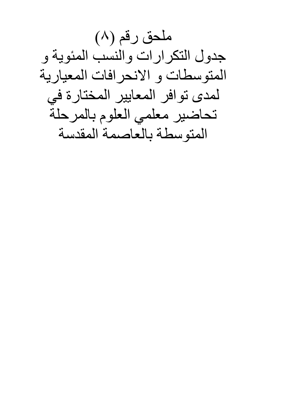ملحق رقم (٨) جدول التكرارات والنسب المئوية و المتوسطات و الانحرافات المعيارية لمدى توافر المعايير المختارة في تحاضير معلمي العلوم بالمرحلة المتوسطة بالعاصمة المقدسة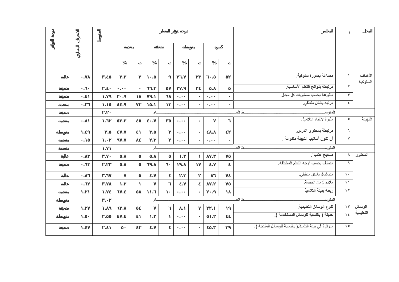|                |            | %          |              | $\%$       |  | $\%$       |  | $\%$           |         |                                                     |                          |           |
|----------------|------------|------------|--------------|------------|--|------------|--|----------------|---------|-----------------------------------------------------|--------------------------|-----------|
| $\sim$         | $\cdot$    | $\epsilon$ |              | $\bullet$  |  | $\epsilon$ |  | $\cdot$        |         | مصاغة بصورة سلوكية                                  |                          | الأهداف   |
| $\sim$         | $\cdot$    | $\cdot$    |              | $\bullet$  |  | $\cdot$    |  | $\bullet$      |         | مرتبطة بنواتج التعلم الأساسية                       | $\blacktriangledown$     | السلوكية  |
| $\blacksquare$ | $\bullet$  | $\epsilon$ |              | $\cdot$    |  | $\bullet$  |  | $\blacksquare$ |         | متنوعة بحسب مستويات كل مجال.                        | $\mathbf{r}$             |           |
| $\sim$         | $\cdot$    | $\epsilon$ |              | $\epsilon$ |  | $\sim$     |  | $\epsilon$     |         | مرتبة بشكل منطقي.                                   | $\epsilon$               |           |
|                | $\cdot$    |            |              | آم         |  |            |  |                |         | ط الع<br>المتوس                                     |                          |           |
| $\bullet$      | $\bullet$  | $\bullet$  |              | $\cdot$    |  | $\bullet$  |  |                |         | مثيرة لانتباه التلاميذ                              | $\bullet$                | التهينة   |
| $\cdot$        | $\bullet$  | $\cdot$    |              | $\cdot$    |  | $\cdot$    |  | $\cdot$        |         | مرتبطة بمحتوى الدرس.                                | $\mathcal{T}$            |           |
| $\bullet$      | $\bullet$  | $\bullet$  |              | $\cdot$    |  | $\cdot$    |  | $\bullet$      |         | أن تكون أساليب التهيئة متنوعة .                     | $\sqrt{}$                |           |
|                | $\cdot$    |            | ط العـ<br>آم |            |  |            |  |                | المتوسد |                                                     |                          |           |
| $\bullet$      | $\cdot$    | $\cdot$    |              | $\cdot$    |  | $\cdot$    |  | $\epsilon$     |         | صحيح علميا ً.                                       | $\lambda$                | المحتوى   |
| $\bullet$      | $\bullet$  | $\cdot$    |              | $\bullet$  |  | $\epsilon$ |  | $\epsilon$     |         | مصنف بحسب أوجه التعلم المختلفة.                     | $\overline{\phantom{a}}$ |           |
| $\bullet$      | $\bullet$  |            |              | $\cdot$    |  | $\cdot$    |  |                |         | متسلسل بشكل منطقي.                                  | $\sqrt{2}$               |           |
| $\bullet$      | $\bullet$  | $\bullet$  |              |            |  | $\cdot$    |  | $\bullet$      |         | ملائم لزمن الحصة.                                   | $\overline{\mathcal{M}}$ |           |
| $\bullet$      | $\bullet$  | $\cdot$    |              | $\cdot$    |  | $\bullet$  |  |                |         | ربطه ببينة التلاميذ                                 | $\sqrt{7}$               |           |
|                | $\epsilon$ |            |              | ام         |  |            |  |                |         | ط الع<br>المتوس                                     |                          |           |
| $\sim$         | $\bullet$  | $\bullet$  |              |            |  | $\cdot$    |  | $\cdot$        |         | تنوع الوسائل التعليمية.                             | $\sqrt{r}$               | الوسائل   |
| $\sim$         | $\bullet$  | $\epsilon$ |              | $\sim$     |  | $\sim$     |  | $\epsilon$     |         | حديثة ( بالنسبة للوسائل المستخدمة ).                | $\sqrt{2}$               | التعليمية |
| $\sim$         | $\cdot$    |            |              | $\cdot$    |  | $\cdot$    |  | $\bullet$      |         | متوفرة في بينة التلميذ.( بالنسبة للوسائل المنتجة ). | $\sqrt{2}$               |           |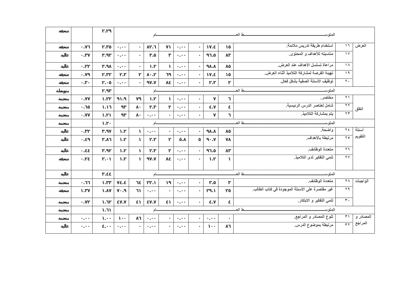|           |               | ط المعـ<br>المتوس       |               |            |                |  |                                                 |                         |           |
|-----------|---------------|-------------------------|---------------|------------|----------------|--|-------------------------------------------------|-------------------------|-----------|
| $\bullet$ | $\bullet$     | $\sim$                  | $\epsilon$    | $\cdot$    | $\cdot$        |  | استخدام طريقة تدريس ملائمة.                     | $\sqrt{7}$              | العرض     |
| $\bullet$ | $\bullet$     | $\sim$                  | $\cdot$       | $\bullet$  | $\bullet$      |  | مناسبته للأهداف و المحتوى.                      | $\sqrt{V}$              |           |
| $\cdot$   | $\epsilon$    | $\epsilon$              | $\mathcal{L}$ | $\cdot$    | $\bullet$      |  | مراعاة تسلسل الأهداف عند العرض.                 | $\Lambda$               |           |
| $\sim$    | $\bullet$     | $\bullet$               | $\cdot$       | $\cdot$    | $\cdot$        |  | تهينة الفرصة لمشاركة التلاميذ أثناء العرض.      | $\sqrt{9}$              |           |
| $\sim$    | $\cdot$       | $\cdot$                 | $\epsilon$    | $\cdot$    | $\cdot$        |  | توظيف الأسئلة الصفية بشكل فعال.                 | $\overline{\mathbf{y}}$ |           |
|           | $\cdot$       | ط الع<br>المتوسد<br>ام  |               |            |                |  |                                                 |                         |           |
| $\bullet$ | $\epsilon$    | $\mathcal{L}$           | $\mathcal{L}$ | $\epsilon$ |                |  | مختصر .                                         | $\overline{Y}$          |           |
| $\sim$    | $\cdot$       |                         | $\sim$        | $\sim$     | $\epsilon$     |  | شامل لعناصر الدرس الرئيسية.                     | $\overline{\Upsilon}$   | الغلق     |
| $\bullet$ | $\bullet$     |                         | $\sim$        | $\sim$     |                |  | يتم بمشاركة التلاميذ.                           | $\forall \forall$       |           |
|           | $\cdot$       | ط الع<br>المتوسد<br>لم  |               |            |                |  |                                                 |                         |           |
| $\cdot$   | $\cdot$       | $\cdot$                 | $\sim$        | $\cdot$    | $\bullet$      |  | واضحة.                                          | $\forall \xi$           | أسئلة     |
| $\bullet$ | $\epsilon$    | $\cdot$                 | $\sim$        | $\cdot$    | $\blacksquare$ |  | مرتبطة بالأهداف                                 | $\forall$ 0             | التقويم   |
| $\sim$    | $\bullet$     | $\epsilon$              | $\sim$        | $\bullet$  | $\sim$         |  | متعددة الوظائف.                                 | 77                      |           |
| $\bullet$ | $\cdot$       | $\cdot$                 | $\bullet$     | $\bullet$  | $\bullet$      |  | تنمي التفكير لدى التلاميذ.                      | $\forall$               |           |
|           |               | ـط العــ<br>المتوسد     |               |            |                |  |                                                 |                         |           |
|           | $\epsilon$    | ام                      |               |            |                |  | $\forall \Lambda$                               |                         |           |
| $\bullet$ | $\cdot$       | $\cdot$                 | $\epsilon$    | $\epsilon$ | $\blacksquare$ |  | متعددة الوظائف.                                 |                         | الواجبات  |
| $\bullet$ | $\cdot$       | $\bullet$               | $\sim$        | $\epsilon$ | $\sim$         |  | غير مقتصرة على الأسئلة الموجودة في كتاب الطالب. | 44                      |           |
| $\sim$    | $\cdot$       | $\epsilon$              | $\epsilon$    | $\cdot$    | $\epsilon$     |  | تنمي التفكير و الابتكار.                        | $\mathbf{r}$ .          |           |
|           | $\cdot$       | ط العـ<br>المتوسد<br>أم |               |            |                |  |                                                 |                         |           |
| $\bullet$ | $\mathcal{A}$ |                         | $\sim$        | $\sim$     | $\sim$         |  | تنوع المصادر و المراجع.                         | $\overline{\tau}$       | المصادر و |
| $\sim$    | $\bullet$     |                         | $\bullet$     |            |                |  | مرتبطة بموضوع الدرس.                            | $\overline{\tau}$       | المراجع   |